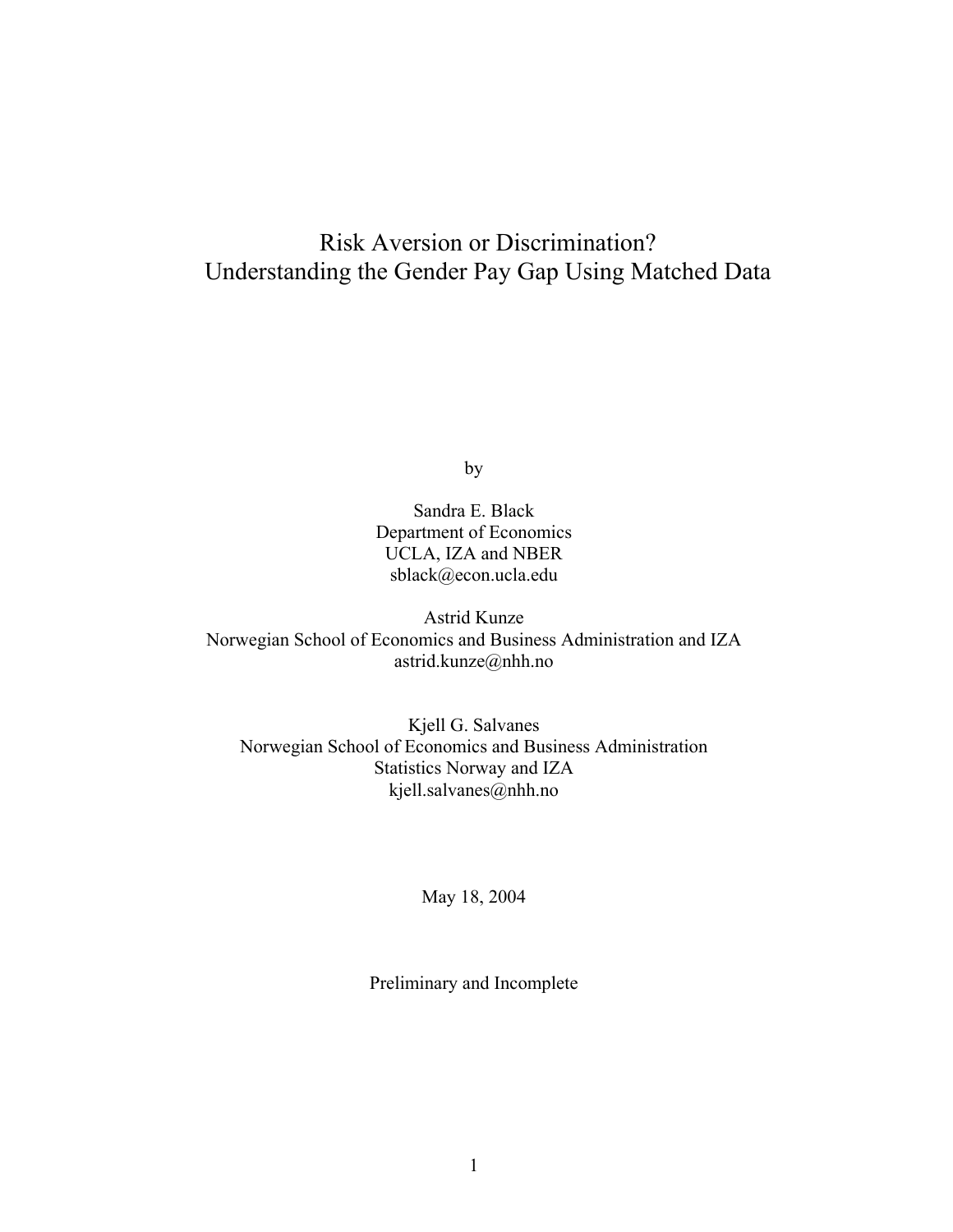# Risk Aversion or Discrimination? Understanding the Gender Pay Gap Using Matched Data

by

Sandra E. Black Department of Economics UCLA, IZA and NBER sblack@econ.ucla.edu

Astrid Kunze Norwegian School of Economics and Business Administration and IZA astrid.kunze@nhh.no

Kjell G. Salvanes Norwegian School of Economics and Business Administration Statistics Norway and IZA kjell.salvanes@nhh.no

May 18, 2004

Preliminary and Incomplete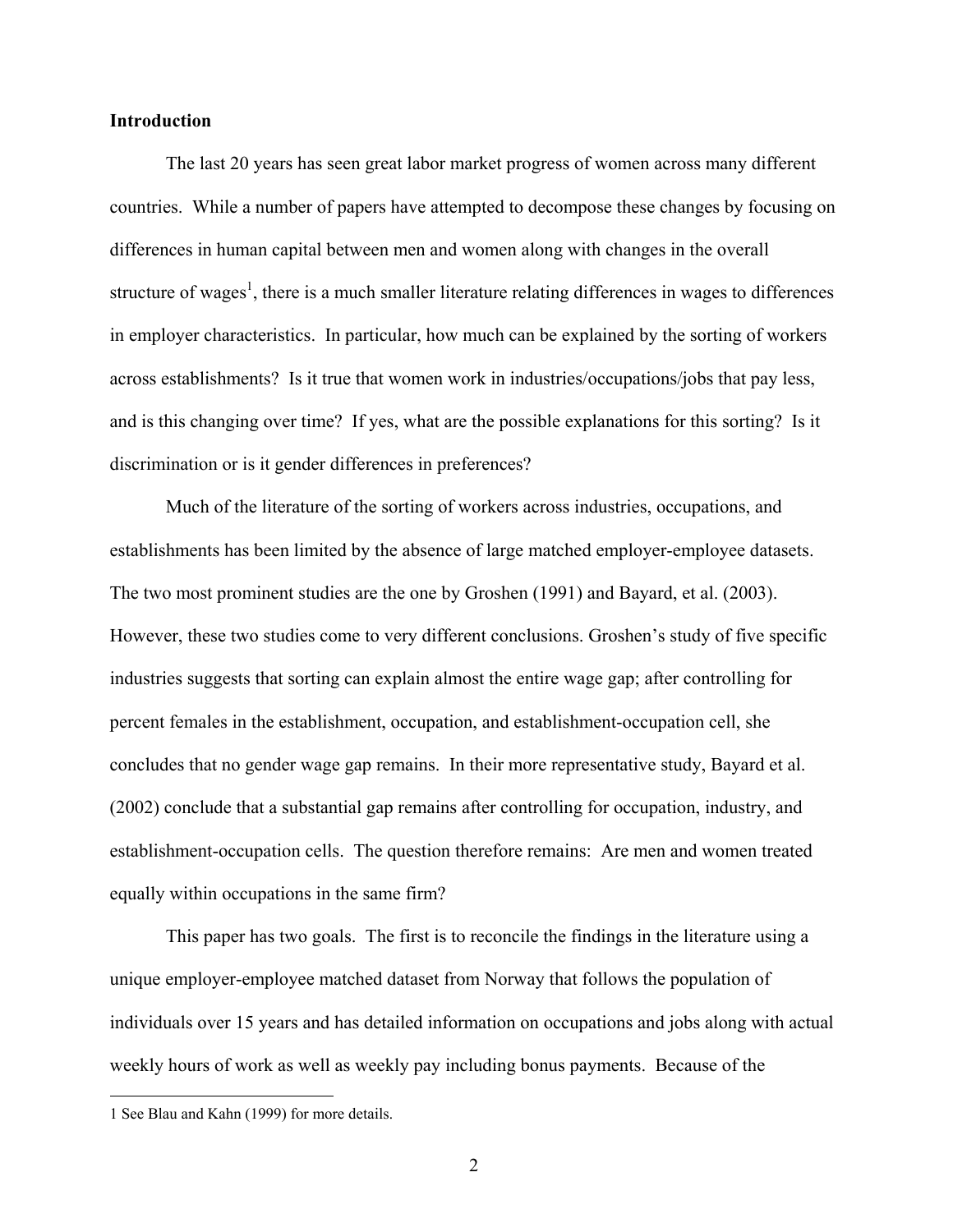### **Introduction**

The last 20 years has seen great labor market progress of women across many different countries. While a number of papers have attempted to decompose these changes by focusing on differences in human capital between men and women along with changes in the overall structure of wages<sup>[1](#page-1-0)</sup>, there is a much smaller literature relating differences in wages to differences in employer characteristics. In particular, how much can be explained by the sorting of workers across establishments? Is it true that women work in industries/occupations/jobs that pay less, and is this changing over time? If yes, what are the possible explanations for this sorting? Is it discrimination or is it gender differences in preferences?

Much of the literature of the sorting of workers across industries, occupations, and establishments has been limited by the absence of large matched employer-employee datasets. The two most prominent studies are the one by Groshen (1991) and Bayard, et al. (2003). However, these two studies come to very different conclusions. Groshen's study of five specific industries suggests that sorting can explain almost the entire wage gap; after controlling for percent females in the establishment, occupation, and establishment-occupation cell, she concludes that no gender wage gap remains. In their more representative study, Bayard et al. (2002) conclude that a substantial gap remains after controlling for occupation, industry, and establishment-occupation cells. The question therefore remains: Are men and women treated equally within occupations in the same firm?

This paper has two goals. The first is to reconcile the findings in the literature using a unique employer-employee matched dataset from Norway that follows the population of individuals over 15 years and has detailed information on occupations and jobs along with actual weekly hours of work as well as weekly pay including bonus payments. Because of the

 $\overline{a}$ 

<span id="page-1-0"></span><sup>1</sup> See Blau and Kahn (1999) for more details.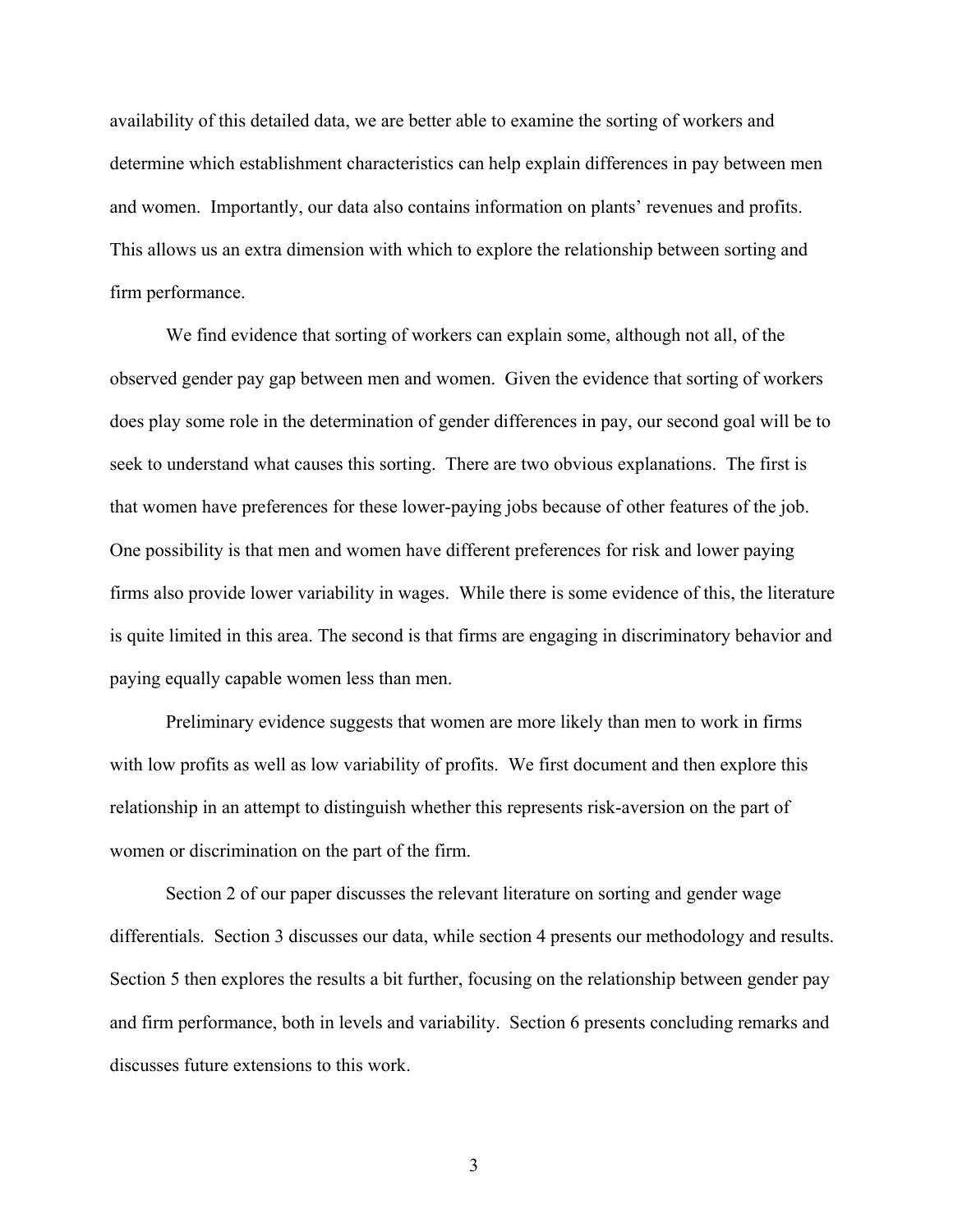availability of this detailed data, we are better able to examine the sorting of workers and determine which establishment characteristics can help explain differences in pay between men and women. Importantly, our data also contains information on plants' revenues and profits. This allows us an extra dimension with which to explore the relationship between sorting and firm performance.

We find evidence that sorting of workers can explain some, although not all, of the observed gender pay gap between men and women. Given the evidence that sorting of workers does play some role in the determination of gender differences in pay, our second goal will be to seek to understand what causes this sorting. There are two obvious explanations. The first is that women have preferences for these lower-paying jobs because of other features of the job. One possibility is that men and women have different preferences for risk and lower paying firms also provide lower variability in wages. While there is some evidence of this, the literature is quite limited in this area. The second is that firms are engaging in discriminatory behavior and paying equally capable women less than men.

Preliminary evidence suggests that women are more likely than men to work in firms with low profits as well as low variability of profits. We first document and then explore this relationship in an attempt to distinguish whether this represents risk-aversion on the part of women or discrimination on the part of the firm.

Section 2 of our paper discusses the relevant literature on sorting and gender wage differentials. Section 3 discusses our data, while section 4 presents our methodology and results. Section 5 then explores the results a bit further, focusing on the relationship between gender pay and firm performance, both in levels and variability. Section 6 presents concluding remarks and discusses future extensions to this work.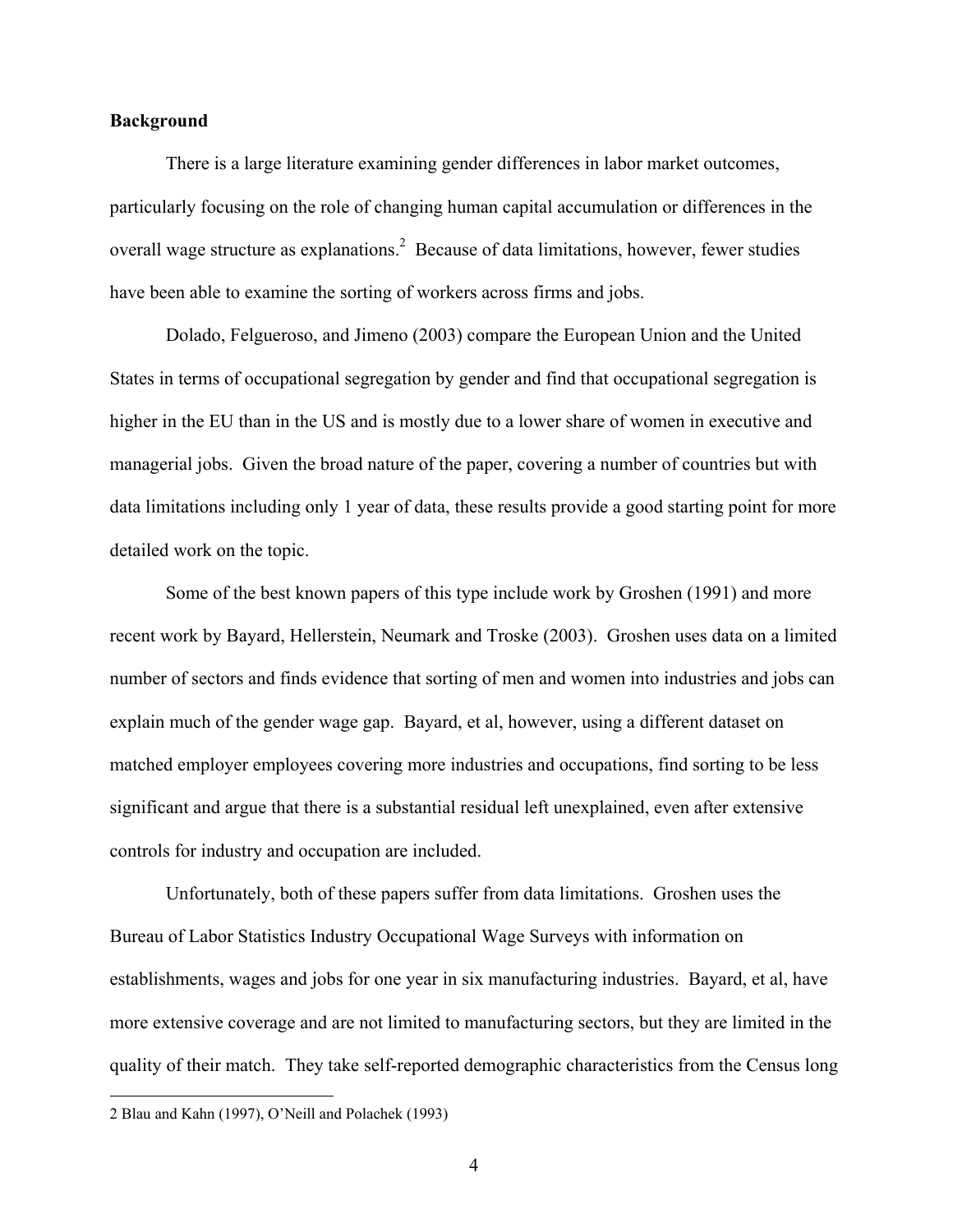### **Background**

There is a large literature examining gender differences in labor market outcomes, particularly focusing on the role of changing human capital accumulation or differences in the overall wage structure as explanations.<sup>[2](#page-3-0)</sup> Because of data limitations, however, fewer studies have been able to examine the sorting of workers across firms and jobs.

Dolado, Felgueroso, and Jimeno (2003) compare the European Union and the United States in terms of occupational segregation by gender and find that occupational segregation is higher in the EU than in the US and is mostly due to a lower share of women in executive and managerial jobs. Given the broad nature of the paper, covering a number of countries but with data limitations including only 1 year of data, these results provide a good starting point for more detailed work on the topic.

Some of the best known papers of this type include work by Groshen (1991) and more recent work by Bayard, Hellerstein, Neumark and Troske (2003). Groshen uses data on a limited number of sectors and finds evidence that sorting of men and women into industries and jobs can explain much of the gender wage gap. Bayard, et al, however, using a different dataset on matched employer employees covering more industries and occupations, find sorting to be less significant and argue that there is a substantial residual left unexplained, even after extensive controls for industry and occupation are included.

Unfortunately, both of these papers suffer from data limitations. Groshen uses the Bureau of Labor Statistics Industry Occupational Wage Surveys with information on establishments, wages and jobs for one year in six manufacturing industries. Bayard, et al, have more extensive coverage and are not limited to manufacturing sectors, but they are limited in the quality of their match. They take self-reported demographic characteristics from the Census long

<span id="page-3-0"></span><sup>2</sup> Blau and Kahn (1997), O'Neill and Polachek (1993)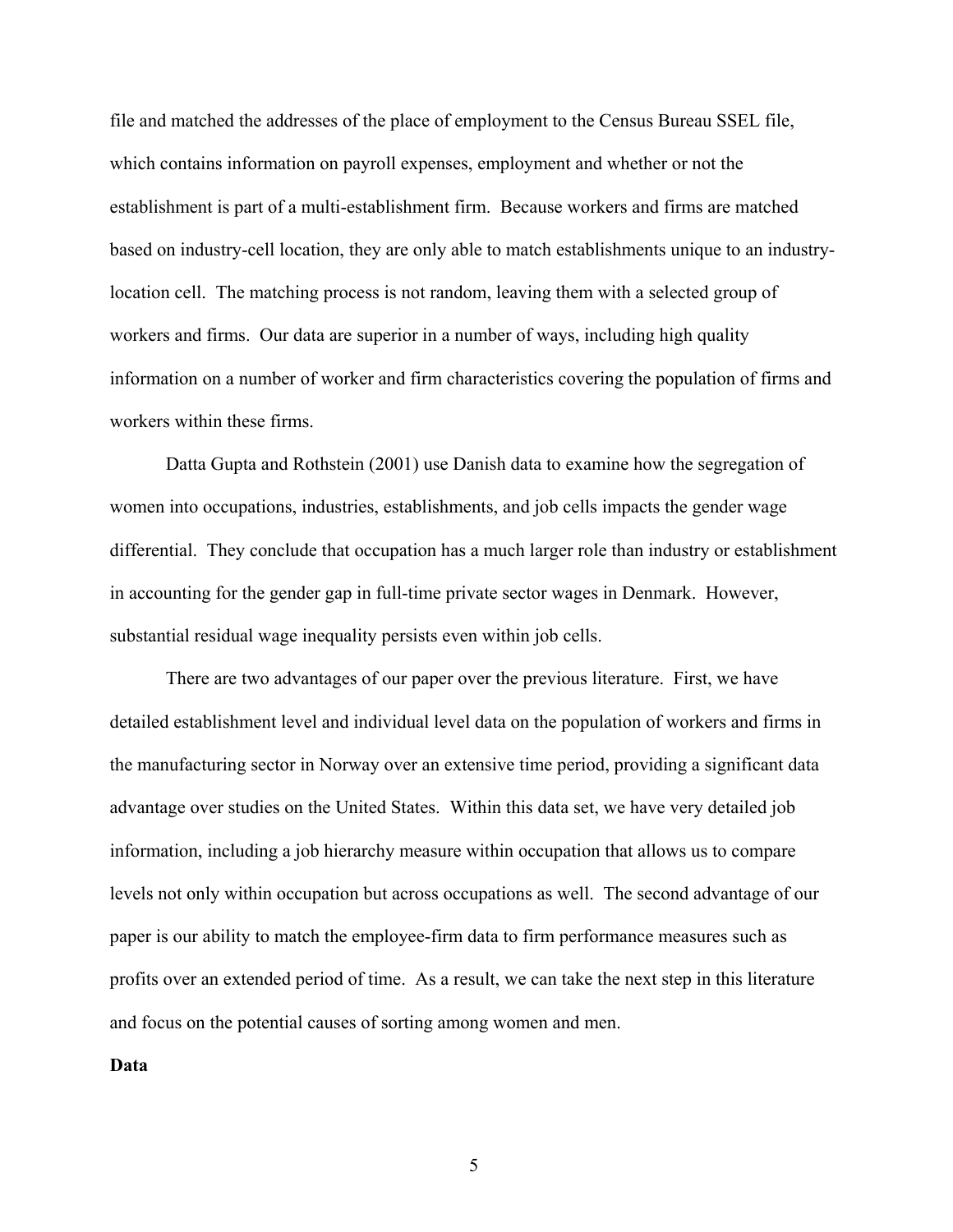file and matched the addresses of the place of employment to the Census Bureau SSEL file, which contains information on payroll expenses, employment and whether or not the establishment is part of a multi-establishment firm. Because workers and firms are matched based on industry-cell location, they are only able to match establishments unique to an industrylocation cell. The matching process is not random, leaving them with a selected group of workers and firms. Our data are superior in a number of ways, including high quality information on a number of worker and firm characteristics covering the population of firms and workers within these firms.

Datta Gupta and Rothstein (2001) use Danish data to examine how the segregation of women into occupations, industries, establishments, and job cells impacts the gender wage differential. They conclude that occupation has a much larger role than industry or establishment in accounting for the gender gap in full-time private sector wages in Denmark. However, substantial residual wage inequality persists even within job cells.

There are two advantages of our paper over the previous literature. First, we have detailed establishment level and individual level data on the population of workers and firms in the manufacturing sector in Norway over an extensive time period, providing a significant data advantage over studies on the United States. Within this data set, we have very detailed job information, including a job hierarchy measure within occupation that allows us to compare levels not only within occupation but across occupations as well. The second advantage of our paper is our ability to match the employee-firm data to firm performance measures such as profits over an extended period of time. As a result, we can take the next step in this literature and focus on the potential causes of sorting among women and men.

**Data**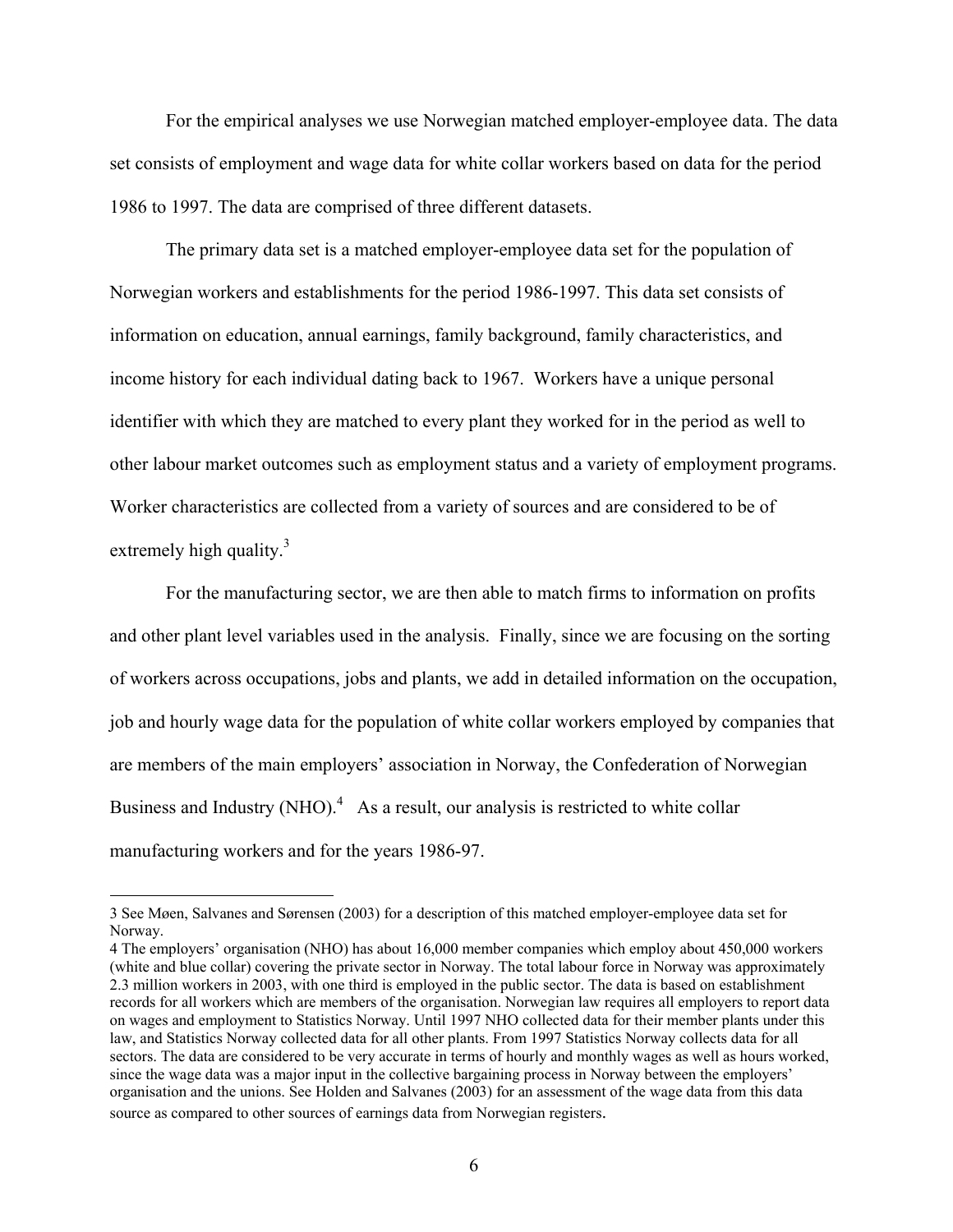For the empirical analyses we use Norwegian matched employer-employee data. The data set consists of employment and wage data for white collar workers based on data for the period 1986 to 1997. The data are comprised of three different datasets.

The primary data set is a matched employer-employee data set for the population of Norwegian workers and establishments for the period 1986-1997. This data set consists of information on education, annual earnings, family background, family characteristics, and income history for each individual dating back to 1967. Workers have a unique personal identifier with which they are matched to every plant they worked for in the period as well to other labour market outcomes such as employment status and a variety of employment programs. Worker characteristics are collected from a variety of sources and are considered to be of extremely high quality.<sup>3</sup>

For the manufacturing sector, we are then able to match firms to information on profits and other plant level variables used in the analysis. Finally, since we are focusing on the sorting of workers across occupations, jobs and plants, we add in detailed information on the occupation, job and hourly wage data for the population of white collar workers employed by companies that are members of the main employers' association in Norway, the Confederation of Norwegian Business and Industry (NHO). $4$  As a result, our analysis is restricted to white collar manufacturing workers and for the years 1986-97.

<span id="page-5-0"></span><sup>3</sup> See Møen, Salvanes and Sørensen (2003) for a description of this matched employer-employee data set for Norway.

<span id="page-5-1"></span><sup>4</sup> The employers' organisation (NHO) has about 16,000 member companies which employ about 450,000 workers (white and blue collar) covering the private sector in Norway. The total labour force in Norway was approximately 2.3 million workers in 2003, with one third is employed in the public sector. The data is based on establishment records for all workers which are members of the organisation. Norwegian law requires all employers to report data on wages and employment to Statistics Norway. Until 1997 NHO collected data for their member plants under this law, and Statistics Norway collected data for all other plants. From 1997 Statistics Norway collects data for all sectors. The data are considered to be very accurate in terms of hourly and monthly wages as well as hours worked, since the wage data was a major input in the collective bargaining process in Norway between the employers' organisation and the unions. See Holden and Salvanes (2003) for an assessment of the wage data from this data source as compared to other sources of earnings data from Norwegian registers.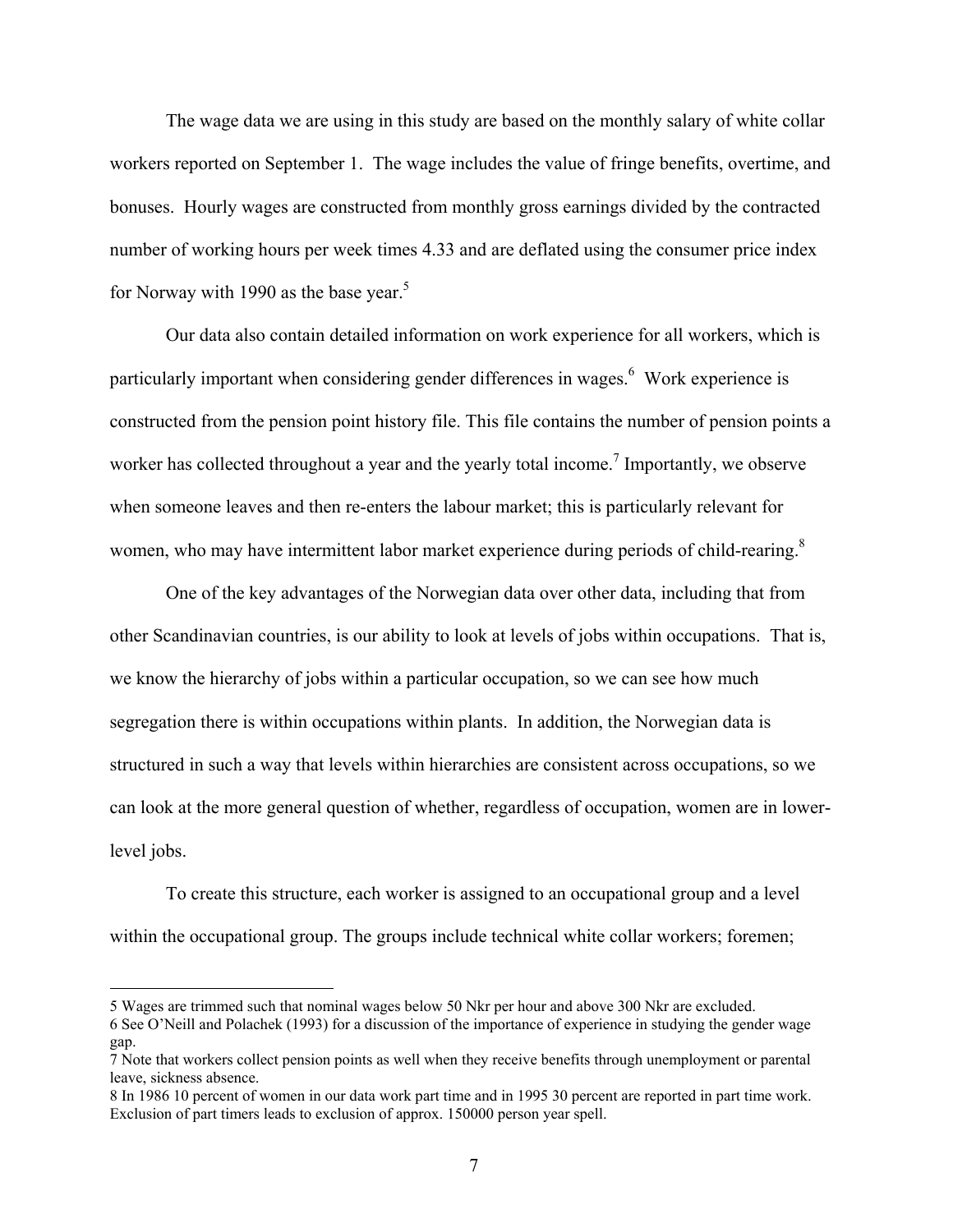The wage data we are using in this study are based on the monthly salary of white collar workers reported on September 1. The wage includes the value of fringe benefits, overtime, and bonuses. Hourly wages are constructed from monthly gross earnings divided by the contracted number of working hours per week times 4.33 and are deflated using the consumer price index for Norway with 1990 as the base year.<sup>5</sup>

Our data also contain detailed information on work experience for all workers, which is particularly important when considering gender differences in wages.<sup>[6](#page-6-1)</sup> Work experience is constructed from the pension point history file. This file contains the number of pension points a worker has collected throughout a year and the yearly total income.<sup>[7](#page-6-2)</sup> Importantly, we observe when someone leaves and then re-enters the labour market; this is particularly relevant for women, who may have intermittent labor market experience during periods of child-rearing.<sup>8</sup>

One of the key advantages of the Norwegian data over other data, including that from other Scandinavian countries, is our ability to look at levels of jobs within occupations. That is, we know the hierarchy of jobs within a particular occupation, so we can see how much segregation there is within occupations within plants. In addition, the Norwegian data is structured in such a way that levels within hierarchies are consistent across occupations, so we can look at the more general question of whether, regardless of occupation, women are in lowerlevel jobs.

To create this structure, each worker is assigned to an occupational group and a level within the occupational group. The groups include technical white collar workers; foremen;

<span id="page-6-0"></span><sup>5</sup> Wages are trimmed such that nominal wages below 50 Nkr per hour and above 300 Nkr are excluded.

<span id="page-6-1"></span><sup>6</sup> See O'Neill and Polachek (1993) for a discussion of the importance of experience in studying the gender wage gap.

<span id="page-6-2"></span><sup>7</sup> Note that workers collect pension points as well when they receive benefits through unemployment or parental leave, sickness absence.

<span id="page-6-3"></span><sup>8</sup> In 1986 10 percent of women in our data work part time and in 1995 30 percent are reported in part time work. Exclusion of part timers leads to exclusion of approx. 150000 person year spell.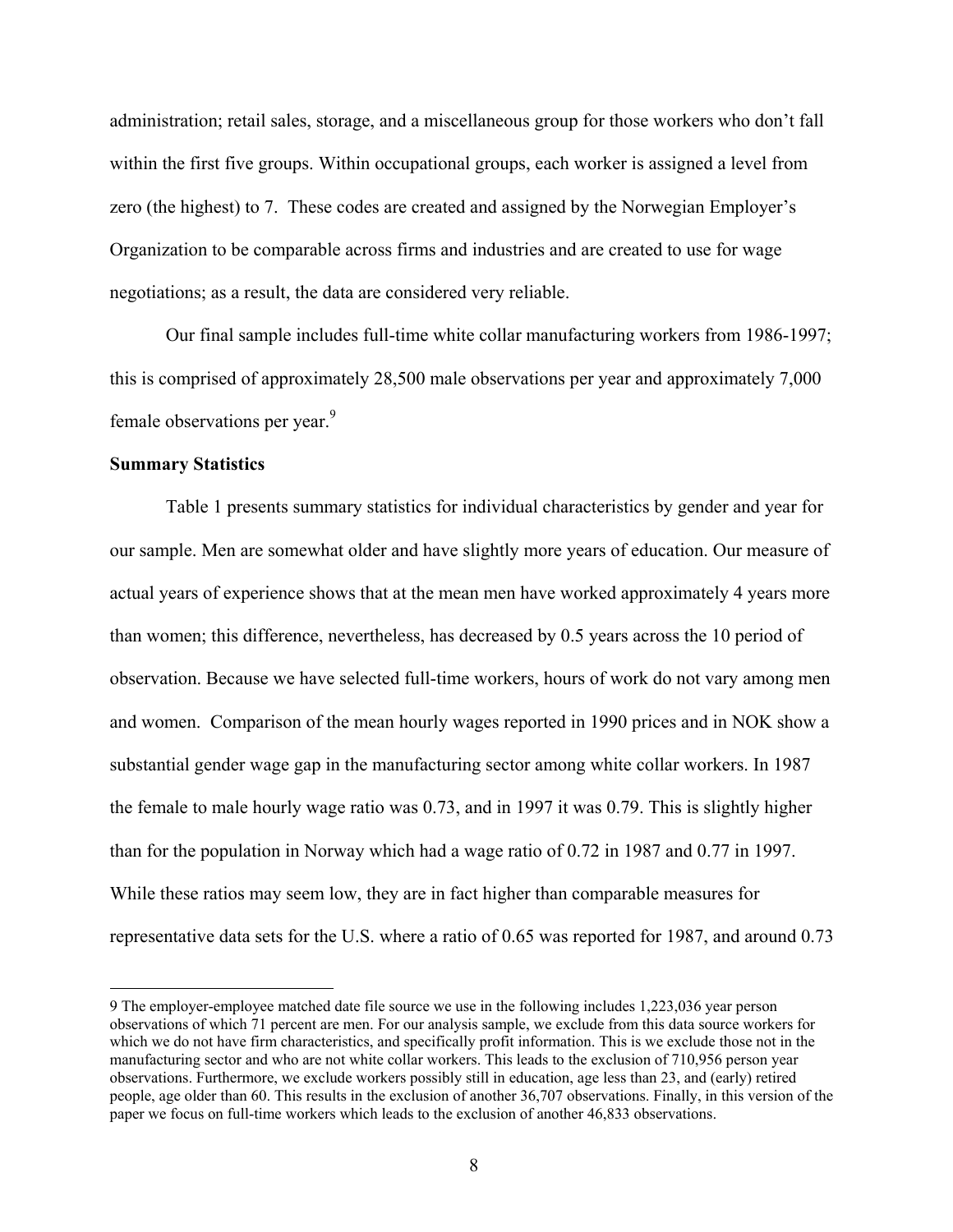administration; retail sales, storage, and a miscellaneous group for those workers who don't fall within the first five groups. Within occupational groups, each worker is assigned a level from zero (the highest) to 7. These codes are created and assigned by the Norwegian Employer's Organization to be comparable across firms and industries and are created to use for wage negotiations; as a result, the data are considered very reliable.

Our final sample includes full-time white collar manufacturing workers from 1986-1997; this is comprised of approximately 28,500 male observations per year and approximately 7,000 female observations per year.<sup>[9](#page-7-0)</sup>

### **Summary Statistics**

 $\overline{a}$ 

Table 1 presents summary statistics for individual characteristics by gender and year for our sample. Men are somewhat older and have slightly more years of education. Our measure of actual years of experience shows that at the mean men have worked approximately 4 years more than women; this difference, nevertheless, has decreased by 0.5 years across the 10 period of observation. Because we have selected full-time workers, hours of work do not vary among men and women. Comparison of the mean hourly wages reported in 1990 prices and in NOK show a substantial gender wage gap in the manufacturing sector among white collar workers. In 1987 the female to male hourly wage ratio was 0.73, and in 1997 it was 0.79. This is slightly higher than for the population in Norway which had a wage ratio of 0.72 in 1987 and 0.77 in 1997. While these ratios may seem low, they are in fact higher than comparable measures for representative data sets for the U.S. where a ratio of 0.65 was reported for 1987, and around 0.73

<span id="page-7-0"></span><sup>9</sup> The employer-employee matched date file source we use in the following includes 1,223,036 year person observations of which 71 percent are men. For our analysis sample, we exclude from this data source workers for which we do not have firm characteristics, and specifically profit information. This is we exclude those not in the manufacturing sector and who are not white collar workers. This leads to the exclusion of 710,956 person year observations. Furthermore, we exclude workers possibly still in education, age less than 23, and (early) retired people, age older than 60. This results in the exclusion of another 36,707 observations. Finally, in this version of the paper we focus on full-time workers which leads to the exclusion of another 46,833 observations.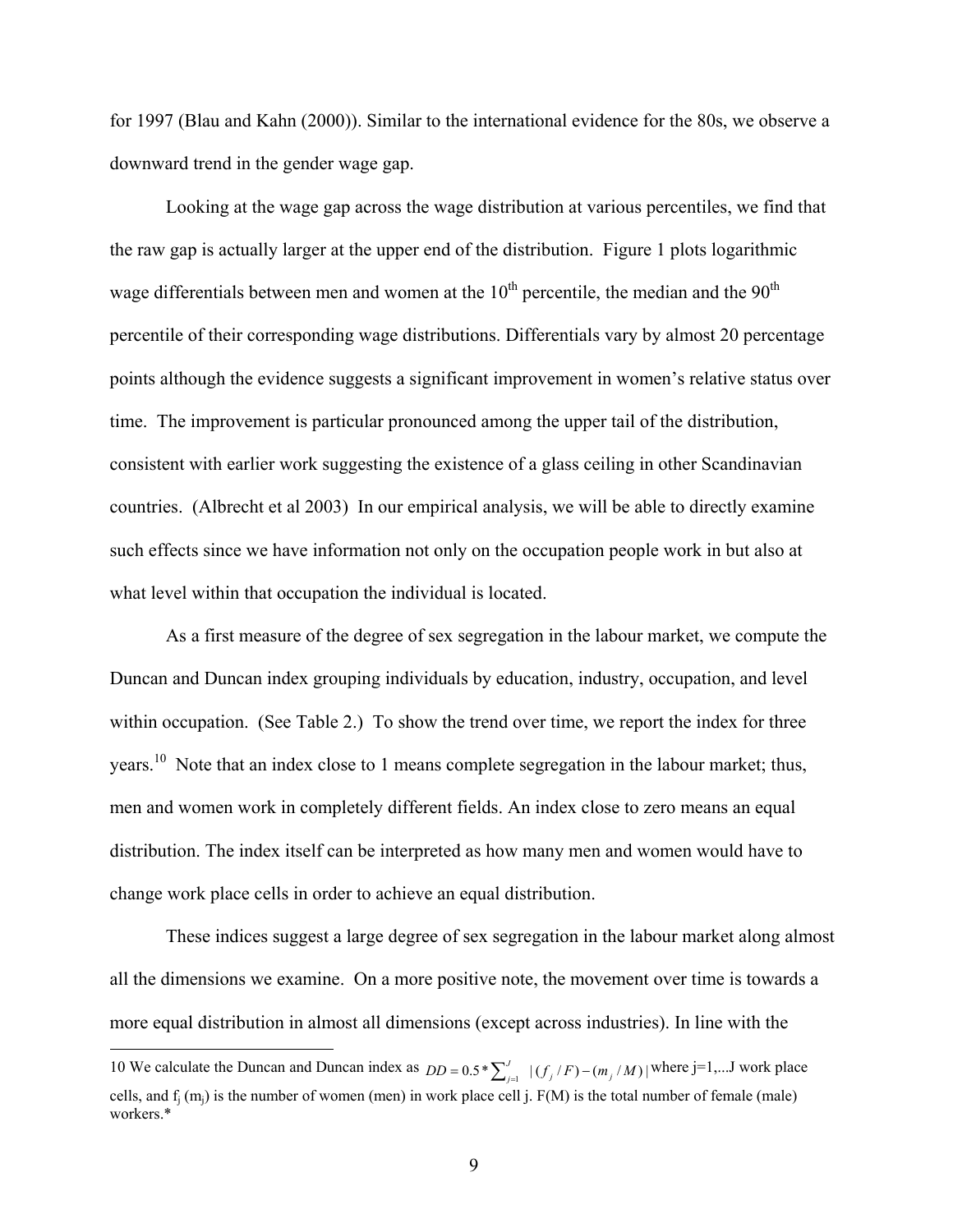for 1997 (Blau and Kahn (2000)). Similar to the international evidence for the 80s, we observe a downward trend in the gender wage gap.

Looking at the wage gap across the wage distribution at various percentiles, we find that the raw gap is actually larger at the upper end of the distribution. Figure 1 plots logarithmic wage differentials between men and women at the  $10<sup>th</sup>$  percentile, the median and the  $90<sup>th</sup>$ percentile of their corresponding wage distributions. Differentials vary by almost 20 percentage points although the evidence suggests a significant improvement in women's relative status over time. The improvement is particular pronounced among the upper tail of the distribution, consistent with earlier work suggesting the existence of a glass ceiling in other Scandinavian countries. (Albrecht et al 2003) In our empirical analysis, we will be able to directly examine such effects since we have information not only on the occupation people work in but also at what level within that occupation the individual is located.

As a first measure of the degree of sex segregation in the labour market, we compute the Duncan and Duncan index grouping individuals by education, industry, occupation, and level within occupation. (See Table 2.) To show the trend over time, we report the index for three years.<sup>10</sup> Note that an index close to 1 means complete segregation in the labour market; thus, men and women work in completely different fields. An index close to zero means an equal distribution. The index itself can be interpreted as how many men and women would have to change work place cells in order to achieve an equal distribution.

These indices suggest a large degree of sex segregation in the labour market along almost all the dimensions we examine. On a more positive note, the movement over time is towards a more equal distribution in almost all dimensions (except across industries). In line with the

<span id="page-8-0"></span>10 We calculate the Duncan and Duncan index as  $DD = 0.5 * \sum_{j=1}^{J} |(f_j/F) - (m_j/M)|$  where j=1,...J work place

cells, and  $f_j(m_j)$  is the number of women (men) in work place cell j.  $F(M)$  is the total number of female (male) workers.\*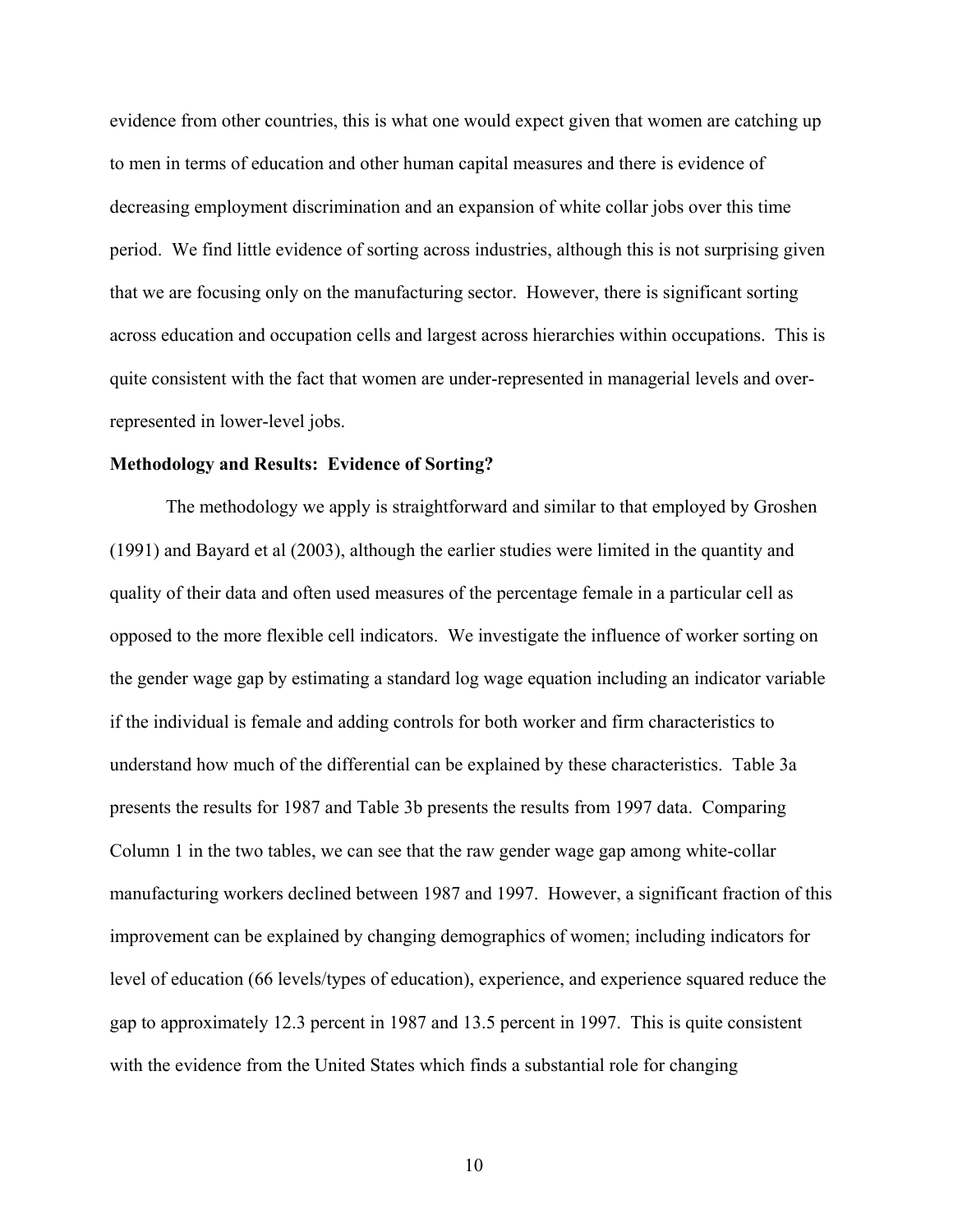evidence from other countries, this is what one would expect given that women are catching up to men in terms of education and other human capital measures and there is evidence of decreasing employment discrimination and an expansion of white collar jobs over this time period. We find little evidence of sorting across industries, although this is not surprising given that we are focusing only on the manufacturing sector. However, there is significant sorting across education and occupation cells and largest across hierarchies within occupations. This is quite consistent with the fact that women are under-represented in managerial levels and overrepresented in lower-level jobs.

#### **Methodology and Results: Evidence of Sorting?**

The methodology we apply is straightforward and similar to that employed by Groshen (1991) and Bayard et al (2003), although the earlier studies were limited in the quantity and quality of their data and often used measures of the percentage female in a particular cell as opposed to the more flexible cell indicators. We investigate the influence of worker sorting on the gender wage gap by estimating a standard log wage equation including an indicator variable if the individual is female and adding controls for both worker and firm characteristics to understand how much of the differential can be explained by these characteristics. Table 3a presents the results for 1987 and Table 3b presents the results from 1997 data. Comparing Column 1 in the two tables, we can see that the raw gender wage gap among white-collar manufacturing workers declined between 1987 and 1997. However, a significant fraction of this improvement can be explained by changing demographics of women; including indicators for level of education (66 levels/types of education), experience, and experience squared reduce the gap to approximately 12.3 percent in 1987 and 13.5 percent in 1997. This is quite consistent with the evidence from the United States which finds a substantial role for changing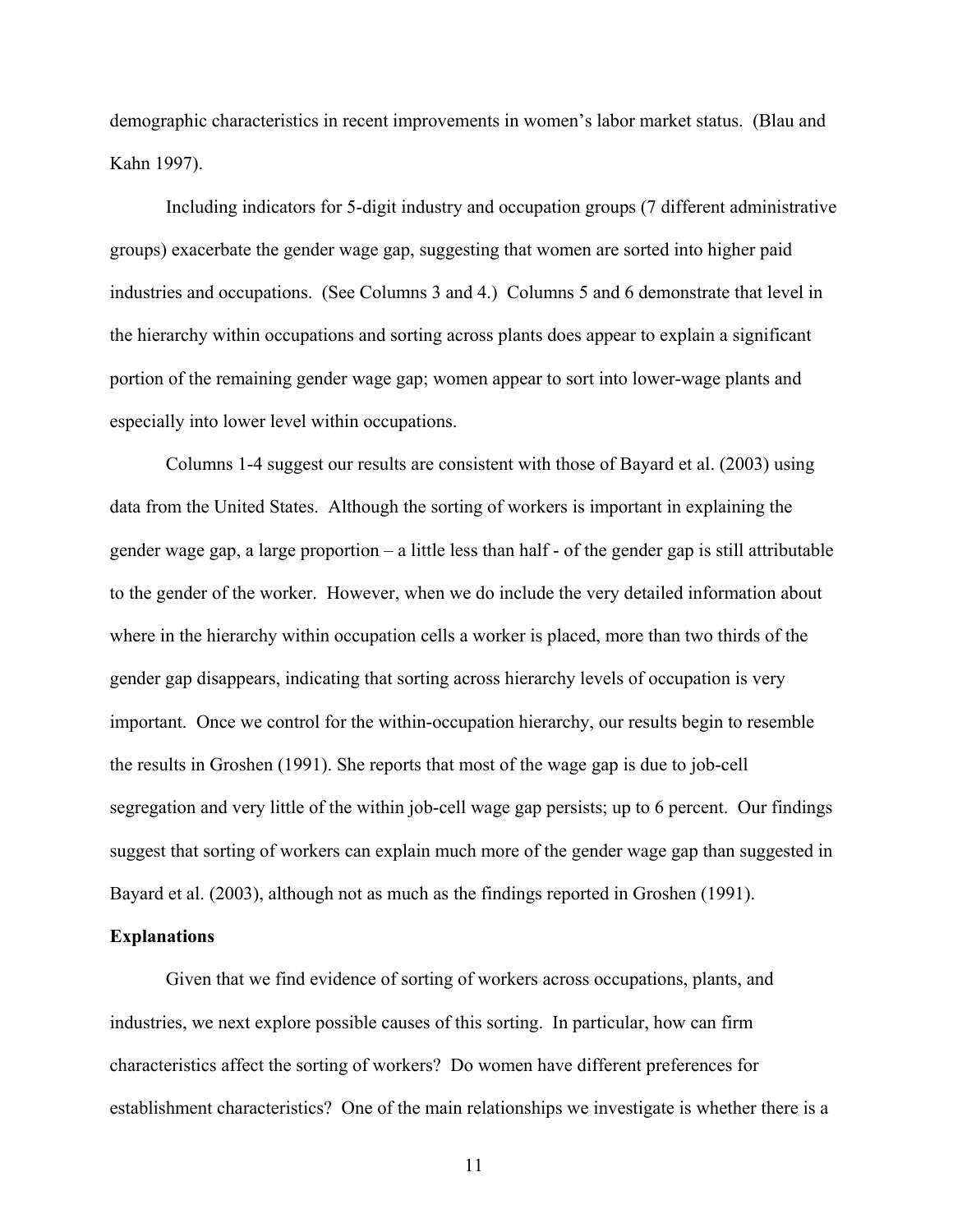demographic characteristics in recent improvements in women's labor market status. (Blau and Kahn 1997).

Including indicators for 5-digit industry and occupation groups (7 different administrative groups) exacerbate the gender wage gap, suggesting that women are sorted into higher paid industries and occupations. (See Columns 3 and 4.) Columns 5 and 6 demonstrate that level in the hierarchy within occupations and sorting across plants does appear to explain a significant portion of the remaining gender wage gap; women appear to sort into lower-wage plants and especially into lower level within occupations.

Columns 1-4 suggest our results are consistent with those of Bayard et al. (2003) using data from the United States. Although the sorting of workers is important in explaining the gender wage gap, a large proportion – a little less than half - of the gender gap is still attributable to the gender of the worker. However, when we do include the very detailed information about where in the hierarchy within occupation cells a worker is placed, more than two thirds of the gender gap disappears, indicating that sorting across hierarchy levels of occupation is very important. Once we control for the within-occupation hierarchy, our results begin to resemble the results in Groshen (1991). She reports that most of the wage gap is due to job-cell segregation and very little of the within job-cell wage gap persists; up to 6 percent. Our findings suggest that sorting of workers can explain much more of the gender wage gap than suggested in Bayard et al. (2003), although not as much as the findings reported in Groshen (1991).

### **Explanations**

Given that we find evidence of sorting of workers across occupations, plants, and industries, we next explore possible causes of this sorting. In particular, how can firm characteristics affect the sorting of workers? Do women have different preferences for establishment characteristics? One of the main relationships we investigate is whether there is a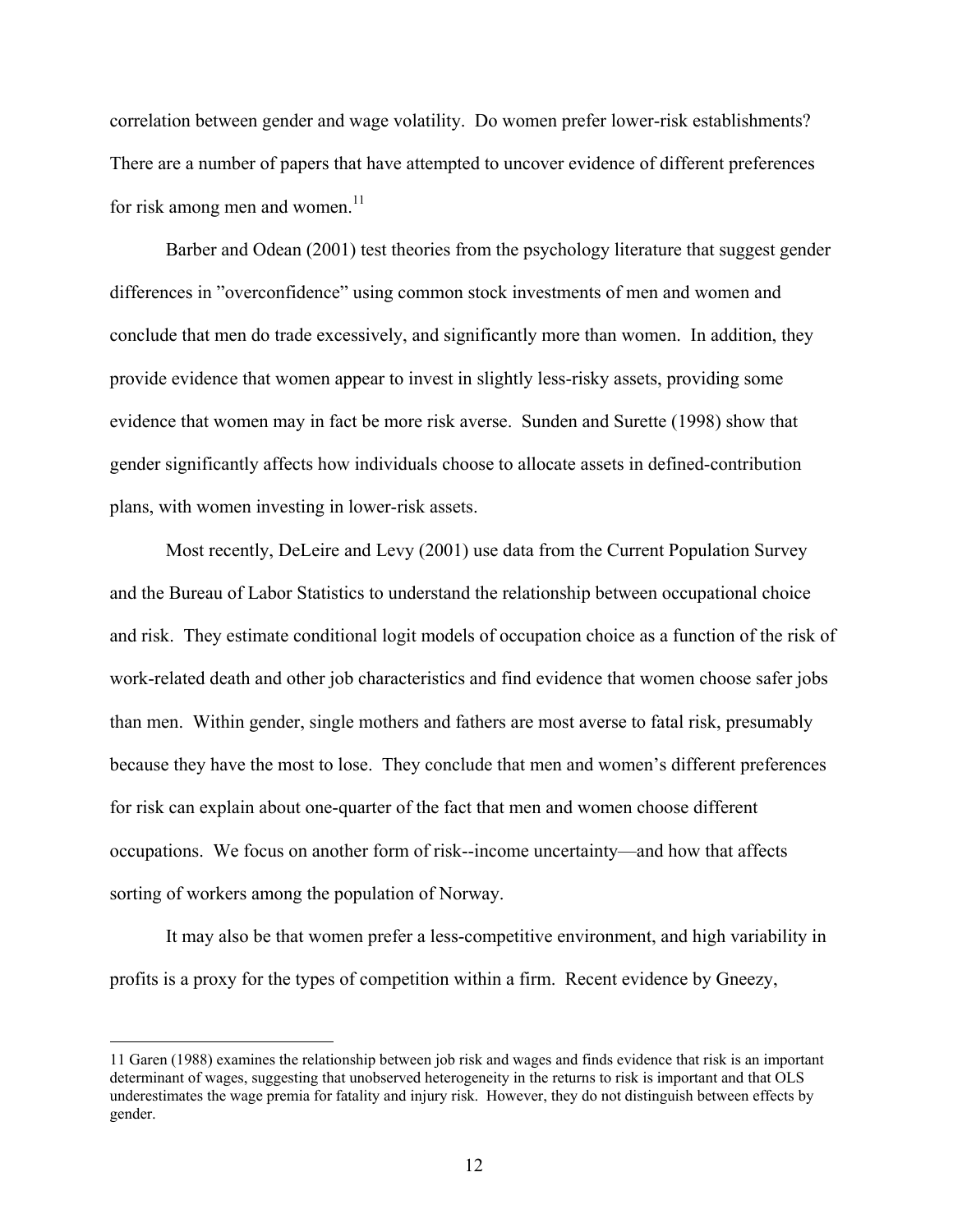correlation between gender and wage volatility. Do women prefer lower-risk establishments? There are a number of papers that have attempted to uncover evidence of different preferences for risk among men and women.<sup>11</sup>

Barber and Odean (2001) test theories from the psychology literature that suggest gender differences in "overconfidence" using common stock investments of men and women and conclude that men do trade excessively, and significantly more than women. In addition, they provide evidence that women appear to invest in slightly less-risky assets, providing some evidence that women may in fact be more risk averse. Sunden and Surette (1998) show that gender significantly affects how individuals choose to allocate assets in defined-contribution plans, with women investing in lower-risk assets.

Most recently, DeLeire and Levy (2001) use data from the Current Population Survey and the Bureau of Labor Statistics to understand the relationship between occupational choice and risk. They estimate conditional logit models of occupation choice as a function of the risk of work-related death and other job characteristics and find evidence that women choose safer jobs than men. Within gender, single mothers and fathers are most averse to fatal risk, presumably because they have the most to lose. They conclude that men and women's different preferences for risk can explain about one-quarter of the fact that men and women choose different occupations. We focus on another form of risk--income uncertainty—and how that affects sorting of workers among the population of Norway.

It may also be that women prefer a less-competitive environment, and high variability in profits is a proxy for the types of competition within a firm. Recent evidence by Gneezy,

<span id="page-11-0"></span><sup>11</sup> Garen (1988) examines the relationship between job risk and wages and finds evidence that risk is an important determinant of wages, suggesting that unobserved heterogeneity in the returns to risk is important and that OLS underestimates the wage premia for fatality and injury risk. However, they do not distinguish between effects by gender.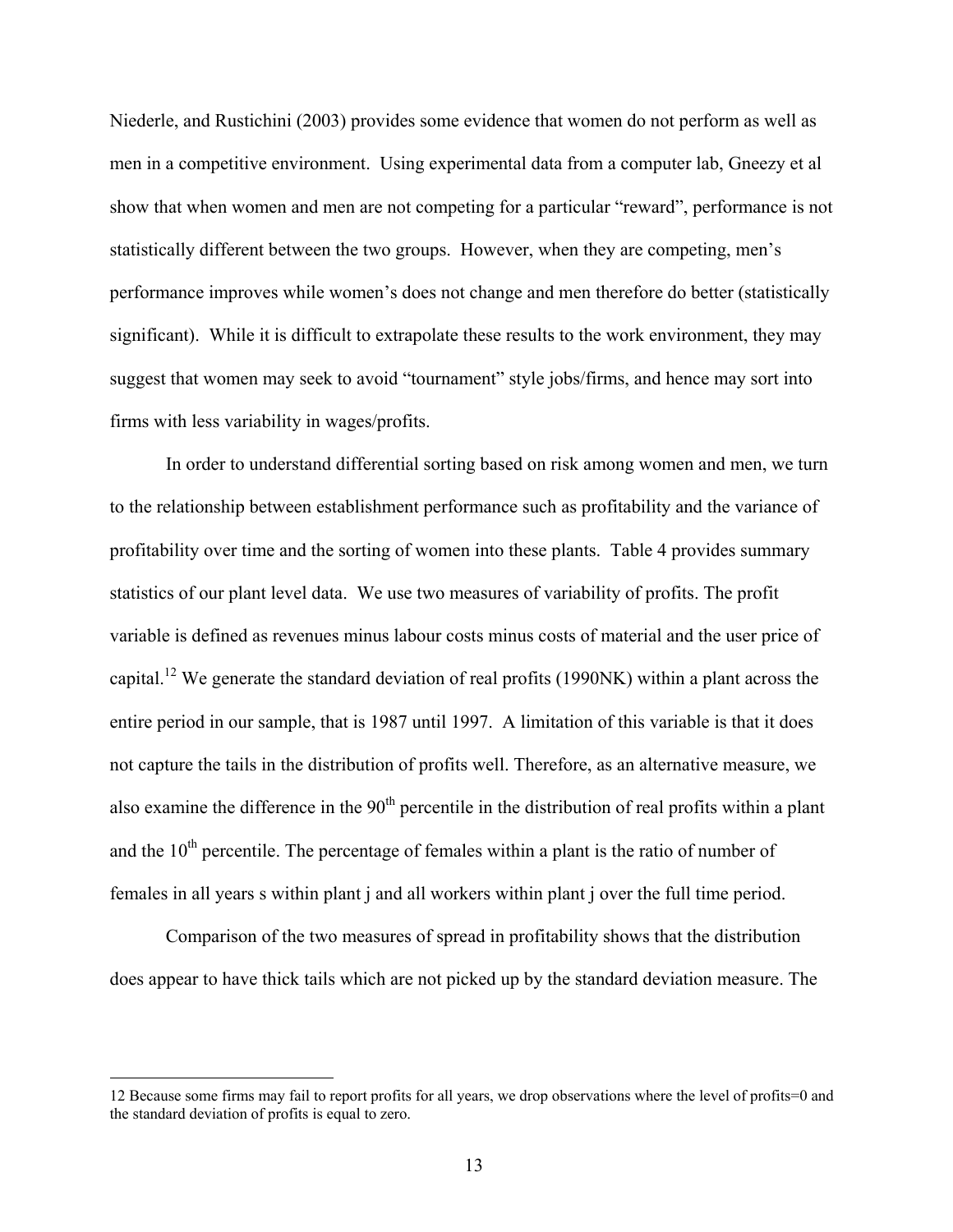Niederle, and Rustichini (2003) provides some evidence that women do not perform as well as men in a competitive environment. Using experimental data from a computer lab, Gneezy et al show that when women and men are not competing for a particular "reward", performance is not statistically different between the two groups. However, when they are competing, men's performance improves while women's does not change and men therefore do better (statistically significant). While it is difficult to extrapolate these results to the work environment, they may suggest that women may seek to avoid "tournament" style jobs/firms, and hence may sort into firms with less variability in wages/profits.

In order to understand differential sorting based on risk among women and men, we turn to the relationship between establishment performance such as profitability and the variance of profitability over time and the sorting of women into these plants. Table 4 provides summary statistics of our plant level data. We use two measures of variability of profits. The profit variable is defined as revenues minus labour costs minus costs of material and the user price of capital[.12](#page-12-0) We generate the standard deviation of real profits (1990NK) within a plant across the entire period in our sample, that is 1987 until 1997. A limitation of this variable is that it does not capture the tails in the distribution of profits well. Therefore, as an alternative measure, we also examine the difference in the  $90<sup>th</sup>$  percentile in the distribution of real profits within a plant and the  $10<sup>th</sup>$  percentile. The percentage of females within a plant is the ratio of number of females in all years s within plant j and all workers within plant j over the full time period.

Comparison of the two measures of spread in profitability shows that the distribution does appear to have thick tails which are not picked up by the standard deviation measure. The

<span id="page-12-0"></span><sup>12</sup> Because some firms may fail to report profits for all years, we drop observations where the level of profits=0 and the standard deviation of profits is equal to zero.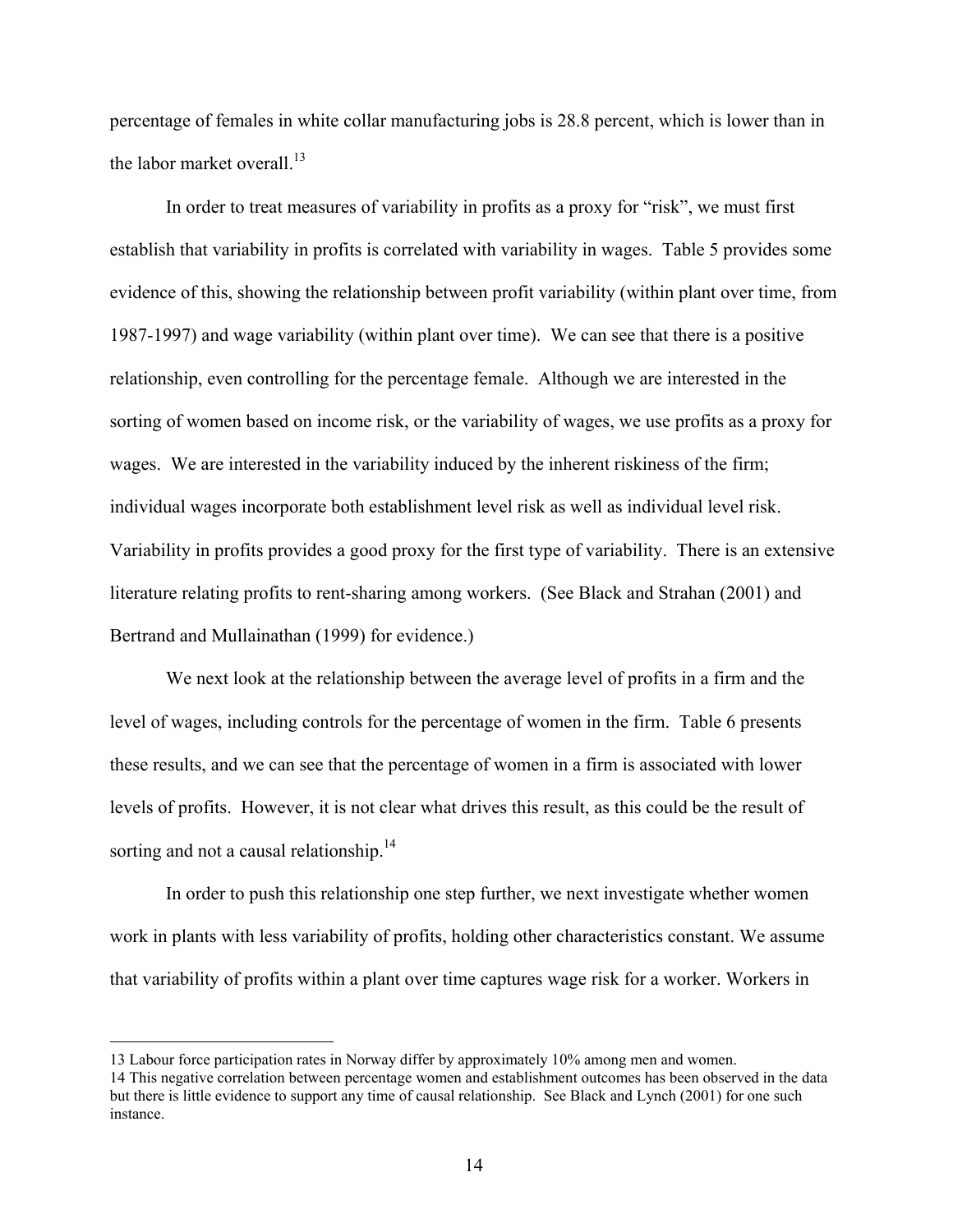percentage of females in white collar manufacturing jobs is 28.8 percent, which is lower than in the labor market overall. $^{13}$ 

In order to treat measures of variability in profits as a proxy for "risk", we must first establish that variability in profits is correlated with variability in wages. Table 5 provides some evidence of this, showing the relationship between profit variability (within plant over time, from 1987-1997) and wage variability (within plant over time). We can see that there is a positive relationship, even controlling for the percentage female. Although we are interested in the sorting of women based on income risk, or the variability of wages, we use profits as a proxy for wages. We are interested in the variability induced by the inherent riskiness of the firm; individual wages incorporate both establishment level risk as well as individual level risk. Variability in profits provides a good proxy for the first type of variability. There is an extensive literature relating profits to rent-sharing among workers. (See Black and Strahan (2001) and Bertrand and Mullainathan (1999) for evidence.)

We next look at the relationship between the average level of profits in a firm and the level of wages, including controls for the percentage of women in the firm. Table 6 presents these results, and we can see that the percentage of women in a firm is associated with lower levels of profits. However, it is not clear what drives this result, as this could be the result of sorting and not a causal relationship.<sup>14</sup>

In order to push this relationship one step further, we next investigate whether women work in plants with less variability of profits, holding other characteristics constant. We assume that variability of profits within a plant over time captures wage risk for a worker. Workers in

<span id="page-13-0"></span><sup>13</sup> Labour force participation rates in Norway differ by approximately 10% among men and women.

<span id="page-13-1"></span><sup>14</sup> This negative correlation between percentage women and establishment outcomes has been observed in the data but there is little evidence to support any time of causal relationship. See Black and Lynch (2001) for one such instance.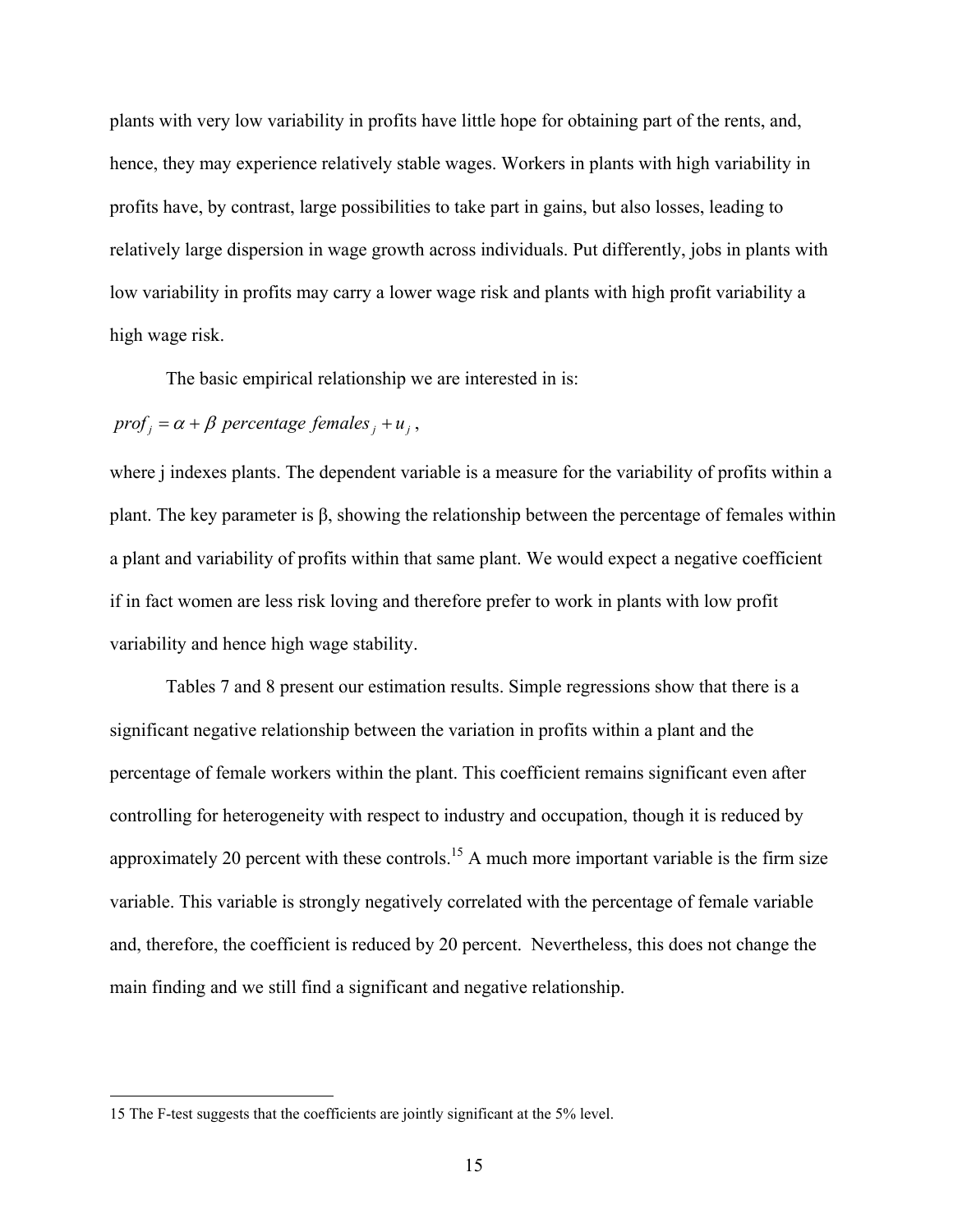plants with very low variability in profits have little hope for obtaining part of the rents, and, hence, they may experience relatively stable wages. Workers in plants with high variability in profits have, by contrast, large possibilities to take part in gains, but also losses, leading to relatively large dispersion in wage growth across individuals. Put differently, jobs in plants with low variability in profits may carry a lower wage risk and plants with high profit variability a high wage risk.

The basic empirical relationship we are interested in is:

# $proj_j = \alpha + \beta$  *percentage females*  $_i + u_j$ ,

where *j* indexes plants. The dependent variable is a measure for the variability of profits within a plant. The key parameter is β, showing the relationship between the percentage of females within a plant and variability of profits within that same plant. We would expect a negative coefficient if in fact women are less risk loving and therefore prefer to work in plants with low profit variability and hence high wage stability.

Tables 7 and 8 present our estimation results. Simple regressions show that there is a significant negative relationship between the variation in profits within a plant and the percentage of female workers within the plant. This coefficient remains significant even after controlling for heterogeneity with respect to industry and occupation, though it is reduced by approximately 20 percent with these controls.<sup>15</sup> A much more important variable is the firm size variable. This variable is strongly negatively correlated with the percentage of female variable and, therefore, the coefficient is reduced by 20 percent. Nevertheless, this does not change the main finding and we still find a significant and negative relationship.

<span id="page-14-0"></span> <sup>15</sup> The F-test suggests that the coefficients are jointly significant at the 5% level.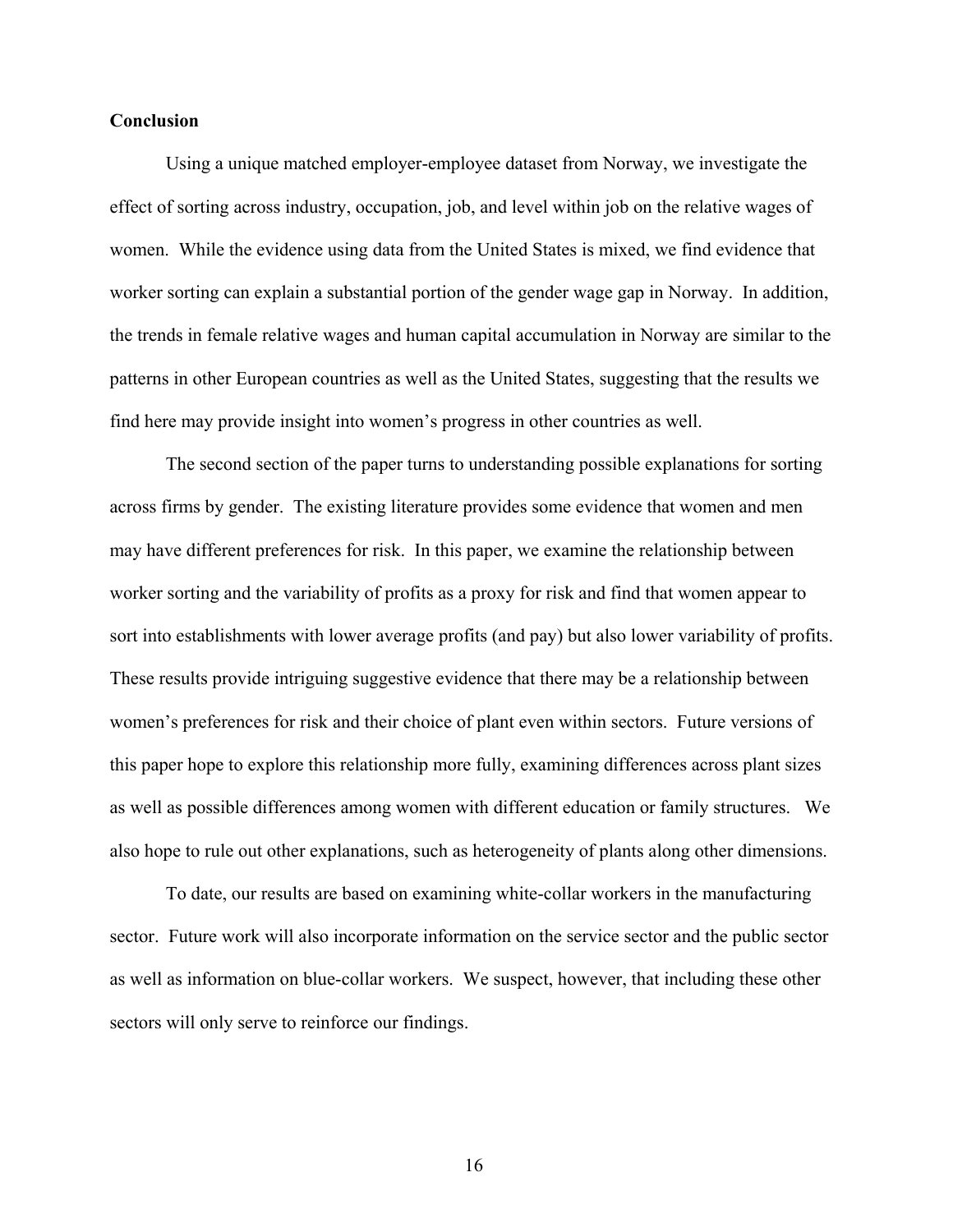### **Conclusion**

Using a unique matched employer-employee dataset from Norway, we investigate the effect of sorting across industry, occupation, job, and level within job on the relative wages of women. While the evidence using data from the United States is mixed, we find evidence that worker sorting can explain a substantial portion of the gender wage gap in Norway. In addition, the trends in female relative wages and human capital accumulation in Norway are similar to the patterns in other European countries as well as the United States, suggesting that the results we find here may provide insight into women's progress in other countries as well.

The second section of the paper turns to understanding possible explanations for sorting across firms by gender. The existing literature provides some evidence that women and men may have different preferences for risk. In this paper, we examine the relationship between worker sorting and the variability of profits as a proxy for risk and find that women appear to sort into establishments with lower average profits (and pay) but also lower variability of profits. These results provide intriguing suggestive evidence that there may be a relationship between women's preferences for risk and their choice of plant even within sectors. Future versions of this paper hope to explore this relationship more fully, examining differences across plant sizes as well as possible differences among women with different education or family structures. We also hope to rule out other explanations, such as heterogeneity of plants along other dimensions.

To date, our results are based on examining white-collar workers in the manufacturing sector. Future work will also incorporate information on the service sector and the public sector as well as information on blue-collar workers. We suspect, however, that including these other sectors will only serve to reinforce our findings.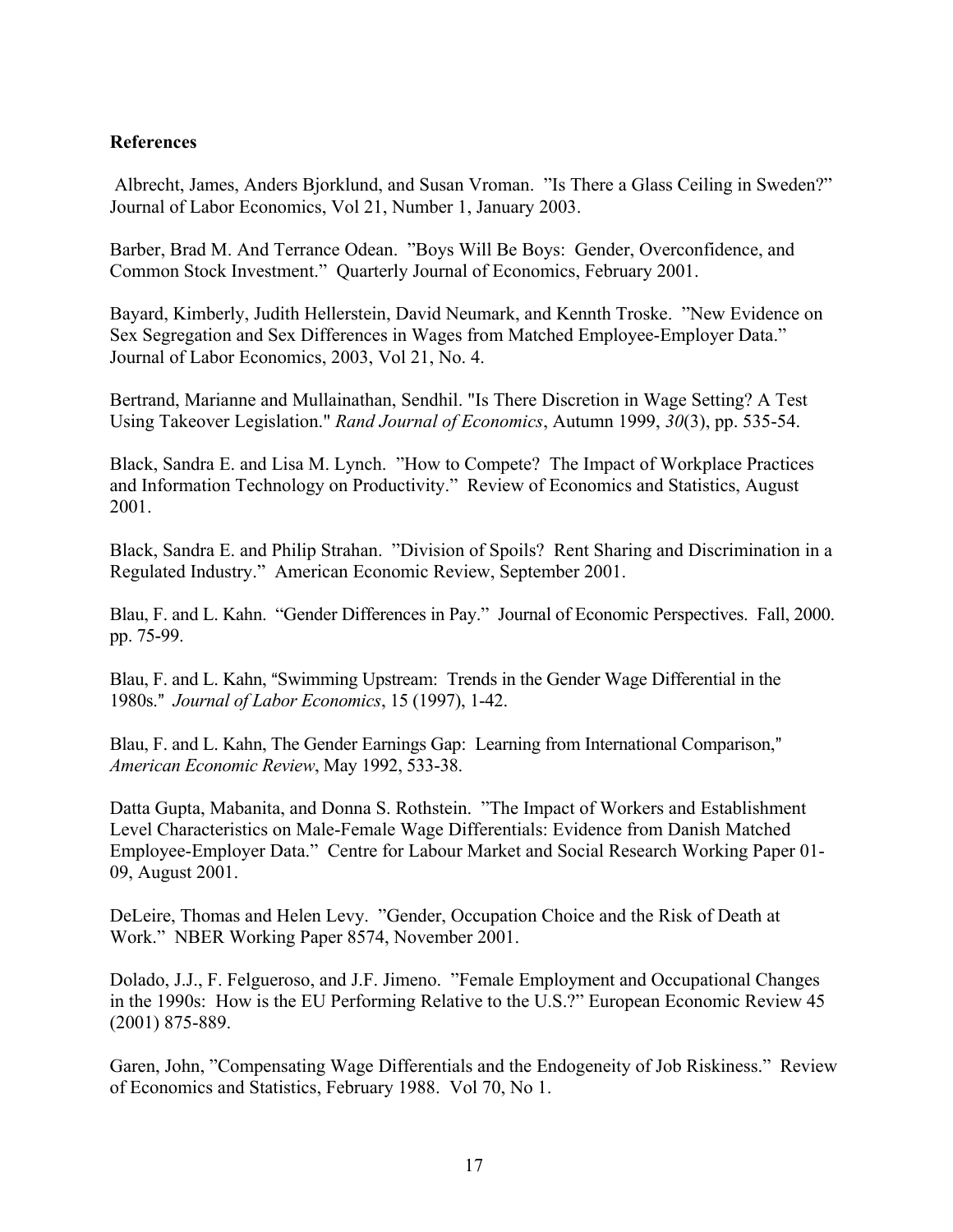# **References**

 Albrecht, James, Anders Bjorklund, and Susan Vroman. "Is There a Glass Ceiling in Sweden?" Journal of Labor Economics, Vol 21, Number 1, January 2003.

Barber, Brad M. And Terrance Odean. "Boys Will Be Boys: Gender, Overconfidence, and Common Stock Investment." Quarterly Journal of Economics, February 2001.

Bayard, Kimberly, Judith Hellerstein, David Neumark, and Kennth Troske. "New Evidence on Sex Segregation and Sex Differences in Wages from Matched Employee-Employer Data." Journal of Labor Economics, 2003, Vol 21, No. 4.

Bertrand, Marianne and Mullainathan, Sendhil. "Is There Discretion in Wage Setting? A Test Using Takeover Legislation." *Rand Journal of Economics*, Autumn 1999, *30*(3), pp. 535-54.

Black, Sandra E. and Lisa M. Lynch. "How to Compete? The Impact of Workplace Practices and Information Technology on Productivity." Review of Economics and Statistics, August 2001.

Black, Sandra E. and Philip Strahan. "Division of Spoils? Rent Sharing and Discrimination in a Regulated Industry." American Economic Review, September 2001.

Blau, F. and L. Kahn. "Gender Differences in Pay." Journal of Economic Perspectives. Fall, 2000. pp. 75-99.

Blau, F. and L. Kahn, "Swimming Upstream: Trends in the Gender Wage Differential in the 1980s.@ *Journal of Labor Economics*, 15 (1997), 1-42.

Blau, F. and L. Kahn, The Gender Earnings Gap: Learning from International Comparison," *American Economic Review*, May 1992, 533-38.

Datta Gupta, Mabanita, and Donna S. Rothstein. "The Impact of Workers and Establishment Level Characteristics on Male-Female Wage Differentials: Evidence from Danish Matched Employee-Employer Data." Centre for Labour Market and Social Research Working Paper 01- 09, August 2001.

DeLeire, Thomas and Helen Levy. "Gender, Occupation Choice and the Risk of Death at Work." NBER Working Paper 8574, November 2001.

Dolado, J.J., F. Felgueroso, and J.F. Jimeno. "Female Employment and Occupational Changes in the 1990s: How is the EU Performing Relative to the U.S.?" European Economic Review 45 (2001) 875-889.

Garen, John, "Compensating Wage Differentials and the Endogeneity of Job Riskiness." Review of Economics and Statistics, February 1988. Vol 70, No 1.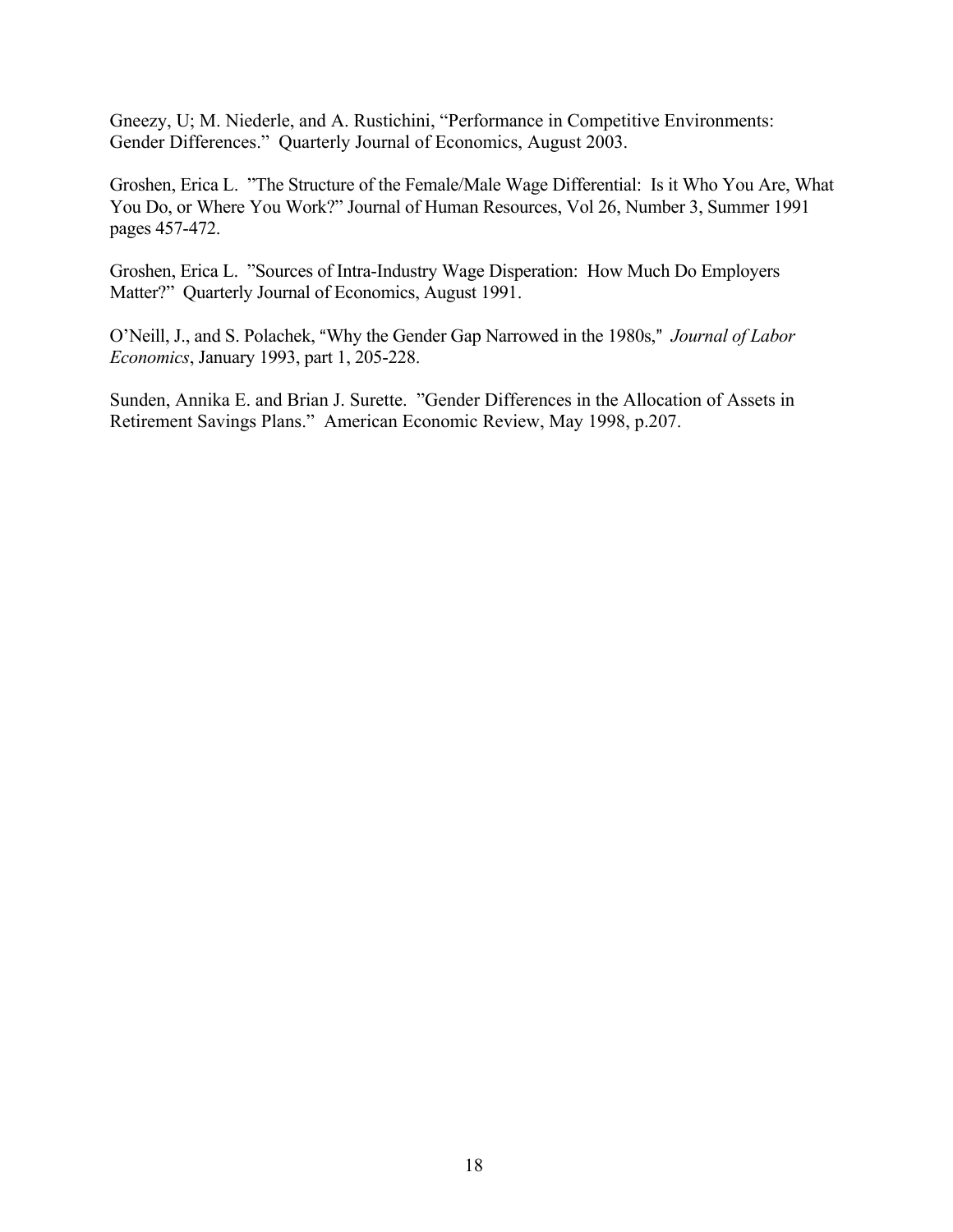Gneezy, U; M. Niederle, and A. Rustichini, "Performance in Competitive Environments: Gender Differences." Quarterly Journal of Economics, August 2003.

Groshen, Erica L. "The Structure of the Female/Male Wage Differential: Is it Who You Are, What You Do, or Where You Work?" Journal of Human Resources, Vol 26, Number 3, Summer 1991 pages 457-472.

Groshen, Erica L. "Sources of Intra-Industry Wage Disperation: How Much Do Employers Matter?" Quarterly Journal of Economics, August 1991.

O'Neill, J., and S. Polachek, "Why the Gender Gap Narrowed in the 1980s," Journal of Labor *Economics*, January 1993, part 1, 205-228.

Sunden, Annika E. and Brian J. Surette. "Gender Differences in the Allocation of Assets in Retirement Savings Plans." American Economic Review, May 1998, p.207.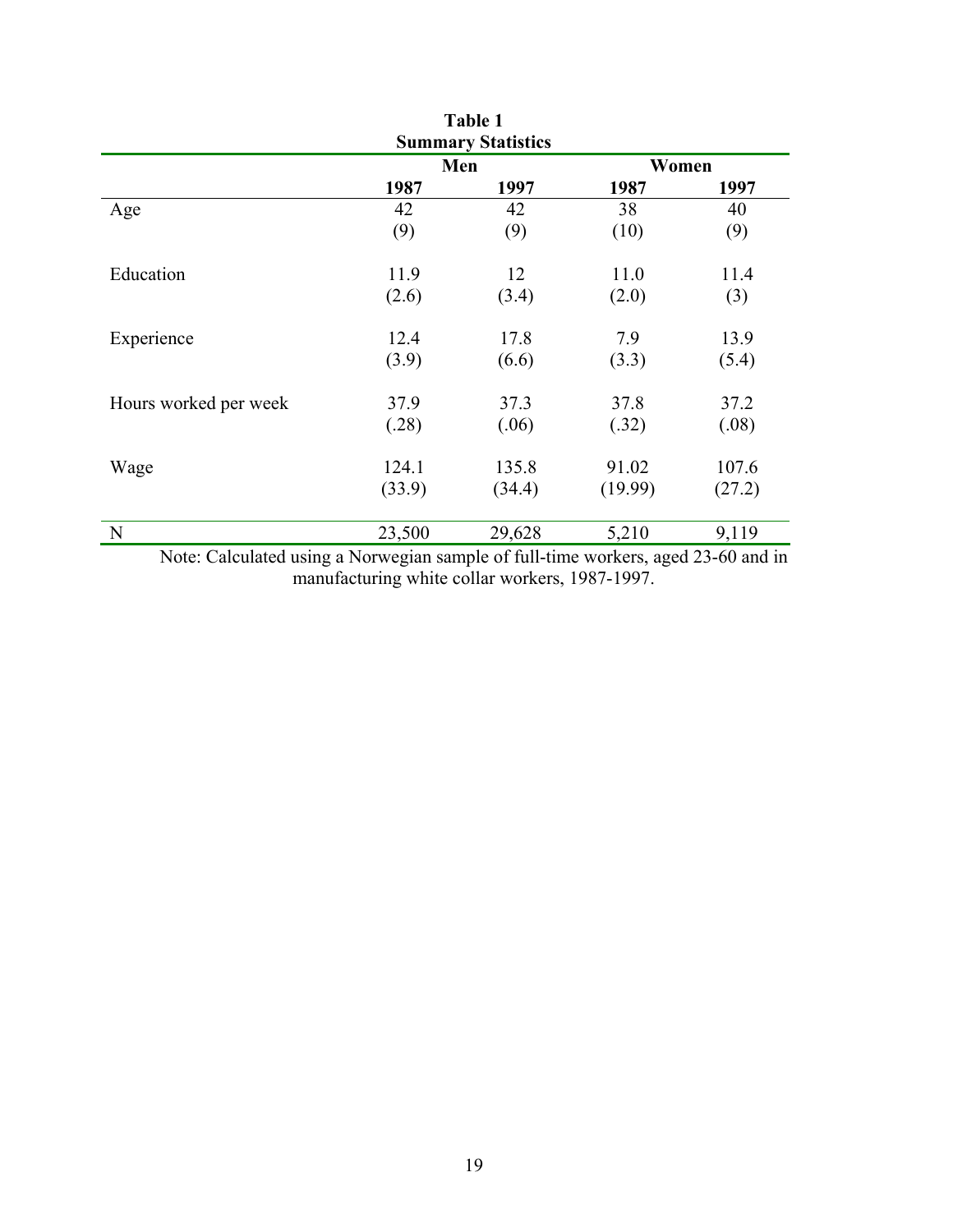| Table 1               |        |                           |         |        |  |  |  |  |
|-----------------------|--------|---------------------------|---------|--------|--|--|--|--|
|                       |        | <b>Summary Statistics</b> |         |        |  |  |  |  |
|                       |        | Men                       |         | Women  |  |  |  |  |
|                       | 1987   | 1997                      | 1987    | 1997   |  |  |  |  |
| Age                   | 42     | 42                        | 38      | 40     |  |  |  |  |
|                       | (9)    | (9)                       | (10)    | (9)    |  |  |  |  |
| Education             | 11.9   | 12                        | 11.0    | 11.4   |  |  |  |  |
|                       | (2.6)  | (3.4)                     | (2.0)   | (3)    |  |  |  |  |
| Experience            | 12.4   | 17.8                      | 7.9     | 13.9   |  |  |  |  |
|                       | (3.9)  | (6.6)                     | (3.3)   | (5.4)  |  |  |  |  |
| Hours worked per week | 37.9   | 37.3                      | 37.8    | 37.2   |  |  |  |  |
|                       | (.28)  | (.06)                     | (.32)   | (.08)  |  |  |  |  |
| Wage                  | 124.1  | 135.8                     | 91.02   | 107.6  |  |  |  |  |
|                       | (33.9) | (34.4)                    | (19.99) | (27.2) |  |  |  |  |
| N                     | 23,500 | 29,628                    | 5,210   | 9,119  |  |  |  |  |
|                       |        |                           |         |        |  |  |  |  |

Note: Calculated using a Norwegian sample of full-time workers, aged 23-60 and in manufacturing white collar workers, 1987-1997.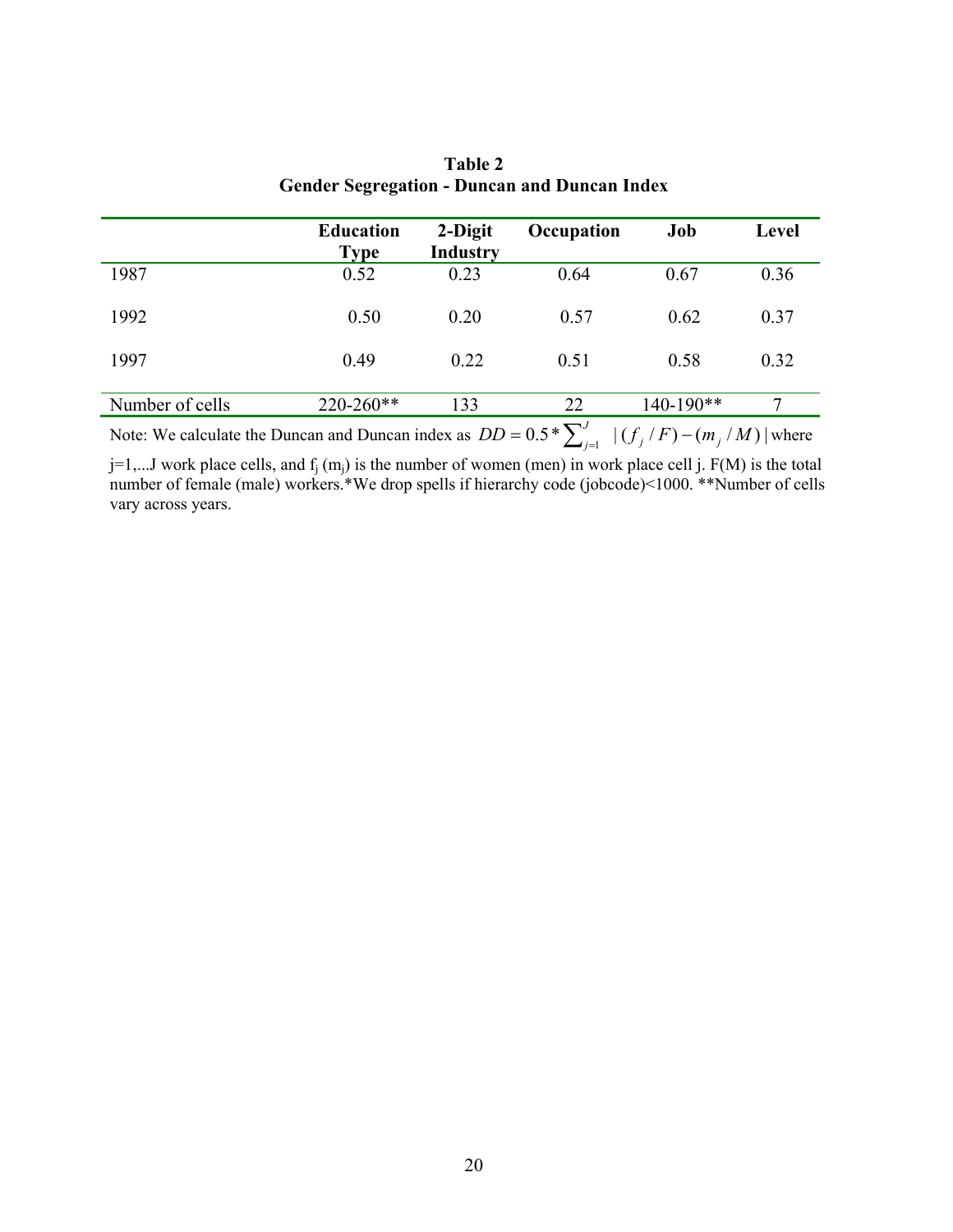|                 | <b>Education</b><br><b>Type</b> | 2-Digit<br><b>Industry</b> | Occupation | Job       | Level |
|-----------------|---------------------------------|----------------------------|------------|-----------|-------|
| 1987            | 0.52                            | 0.23                       | 0.64       | 0.67      | 0.36  |
| 1992            | 0.50                            | 0.20                       | 0.57       | 0.62      | 0.37  |
| 1997            | 0.49                            | 0.22                       | 0.51       | 0.58      | 0.32  |
| Number of cells | $220 - 260**$                   | 133                        | 22         | 140-190** | 7     |

| Table 2                                             |
|-----------------------------------------------------|
| <b>Gender Segregation - Duncan and Duncan Index</b> |

Note: We calculate the Duncan and Duncan index as  $DD = 0.5 * \sum_{j=1}^{J} |(f_j/F) - (m_j/M)|$  where

 $j=1,...J$  work place cells, and  $f_j(m_j)$  is the number of women (men) in work place cell j. F(M) is the total number of female (male) workers.\*We drop spells if hierarchy code (jobcode)<1000. \*\*Number of cells vary across years.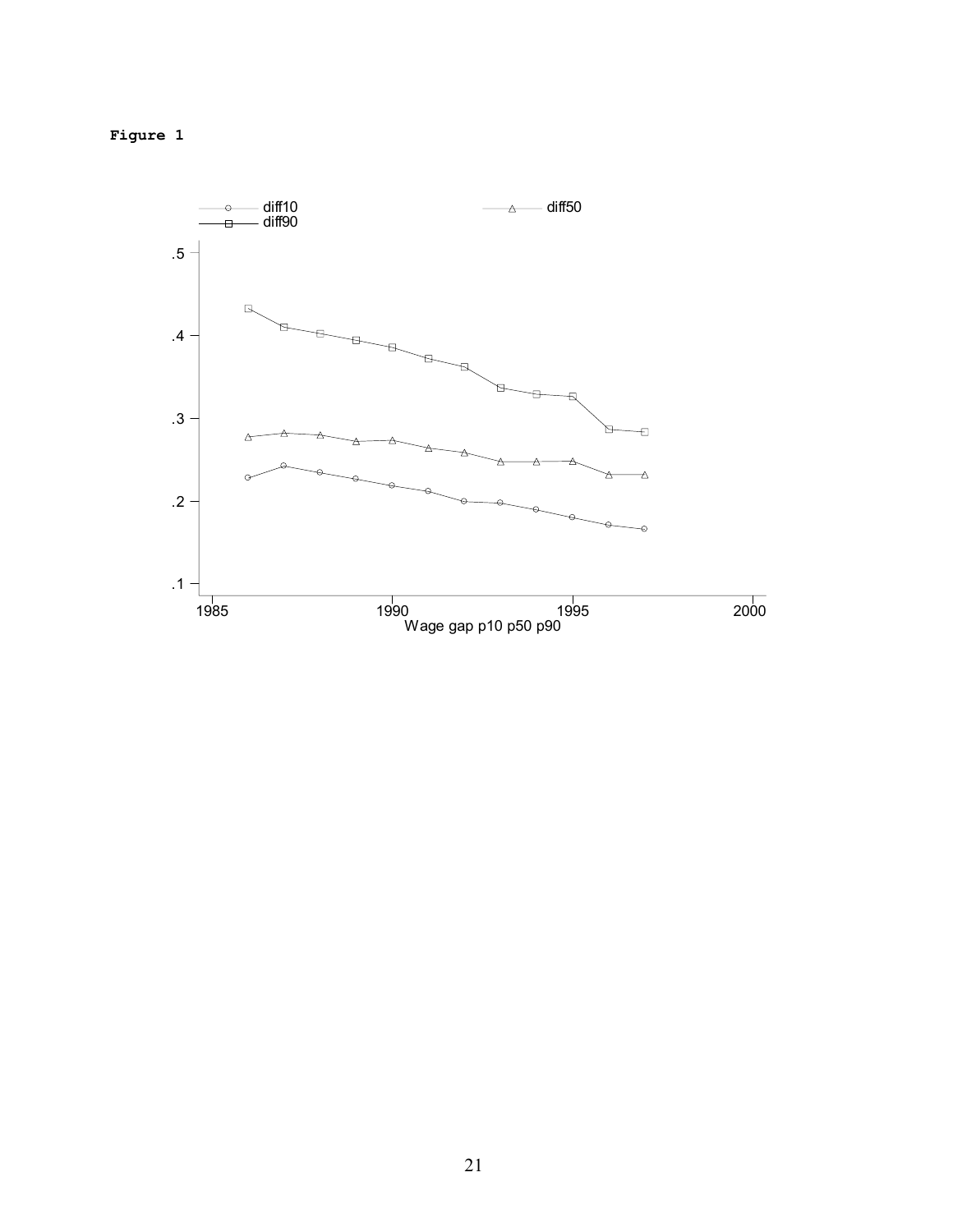

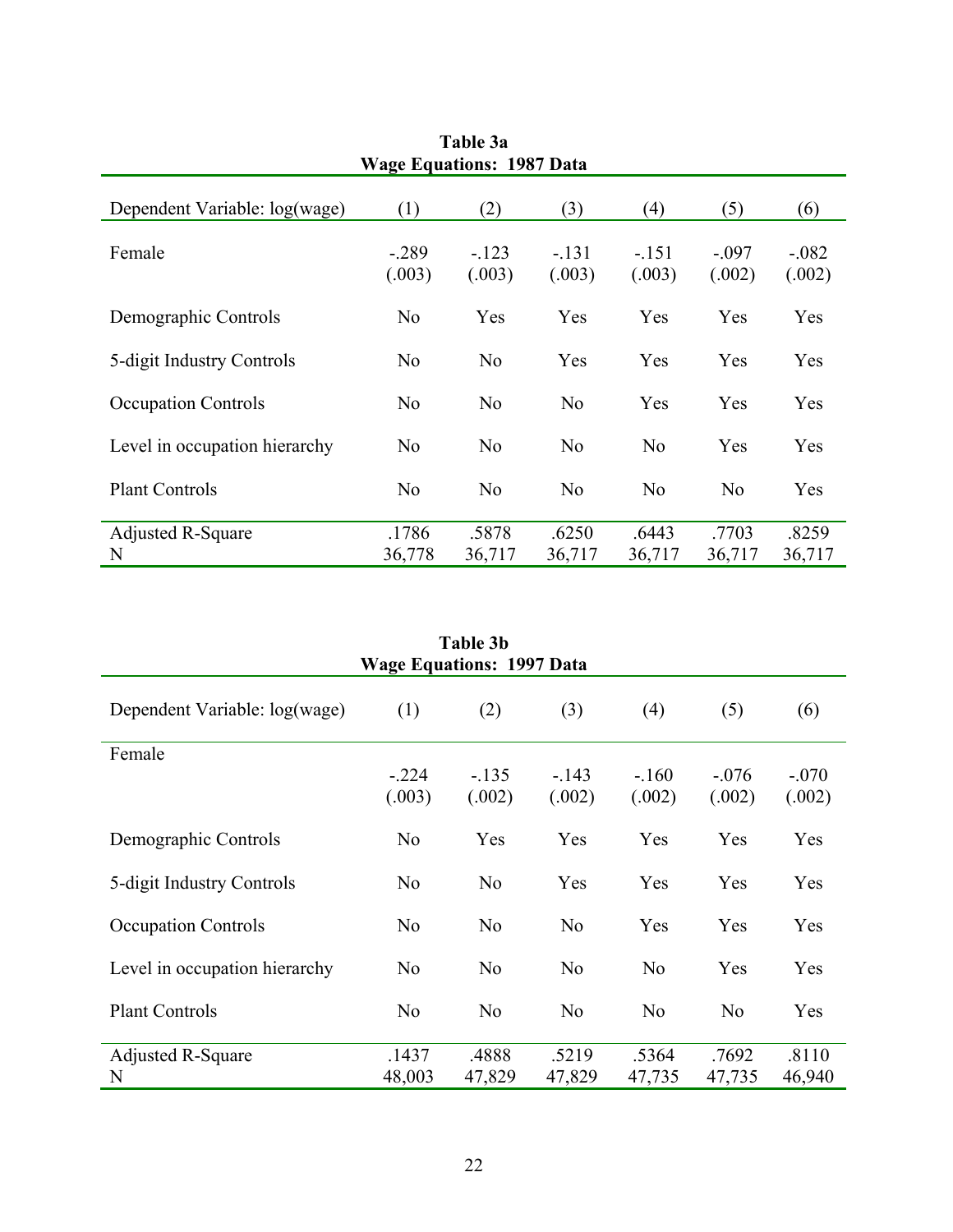| Table 3a<br><b>Wage Equations: 1987 Data</b> |                   |                   |                   |                   |                   |                   |
|----------------------------------------------|-------------------|-------------------|-------------------|-------------------|-------------------|-------------------|
| Dependent Variable: log(wage)                | (1)               | (2)               | (3)               | (4)               | (5)               | (6)               |
| Female                                       | $-.289$<br>(.003) | $-.123$<br>(.003) | $-.131$<br>(.003) | $-.151$<br>(.003) | $-.097$<br>(.002) | $-.082$<br>(.002) |
| Demographic Controls                         | N <sub>0</sub>    | Yes               | Yes               | Yes               | Yes               | Yes               |
| 5-digit Industry Controls                    | N <sub>0</sub>    | N <sub>0</sub>    | Yes               | Yes               | Yes               | Yes               |
| <b>Occupation Controls</b>                   | N <sub>0</sub>    | N <sub>0</sub>    | N <sub>0</sub>    | Yes               | Yes               | Yes               |
| Level in occupation hierarchy                | N <sub>0</sub>    | N <sub>o</sub>    | N <sub>o</sub>    | N <sub>o</sub>    | Yes               | Yes               |
| <b>Plant Controls</b>                        | N <sub>0</sub>    | N <sub>o</sub>    | N <sub>o</sub>    | N <sub>o</sub>    | N <sub>0</sub>    | Yes               |
| <b>Adjusted R-Square</b><br>N                | .1786<br>36,778   | .5878<br>36,717   | .6250<br>36,717   | .6443<br>36,717   | .7703<br>36,717   | .8259<br>36,717   |

| Table 3b<br><b>Wage Equations: 1997 Data</b> |                   |                  |                  |                  |                   |                   |  |
|----------------------------------------------|-------------------|------------------|------------------|------------------|-------------------|-------------------|--|
| Dependent Variable: log(wage)                | (1)               | (2)              | (3)              | (4)              | (5)               | (6)               |  |
| Female                                       | $-.224$<br>(.003) | $-135$<br>(.002) | $-143$<br>(.002) | $-160$<br>(.002) | $-.076$<br>(.002) | $-.070$<br>(.002) |  |
| Demographic Controls                         | N <sub>o</sub>    | Yes              | Yes              | Yes              | Yes               | Yes               |  |
| 5-digit Industry Controls                    | N <sub>o</sub>    | N <sub>o</sub>   | Yes              | Yes              | Yes               | Yes               |  |
| <b>Occupation Controls</b>                   | N <sub>o</sub>    | N <sub>0</sub>   | N <sub>o</sub>   | Yes              | Yes               | Yes               |  |
| Level in occupation hierarchy                | N <sub>o</sub>    | N <sub>0</sub>   | N <sub>o</sub>   | N <sub>0</sub>   | Yes               | Yes               |  |
| <b>Plant Controls</b>                        | N <sub>o</sub>    | N <sub>0</sub>   | N <sub>o</sub>   | N <sub>o</sub>   | N <sub>o</sub>    | Yes               |  |
| <b>Adjusted R-Square</b><br>N                | .1437<br>48,003   | .4888<br>47,829  | .5219<br>47,829  | .5364<br>47,735  | .7692<br>47,735   | .8110<br>46,940   |  |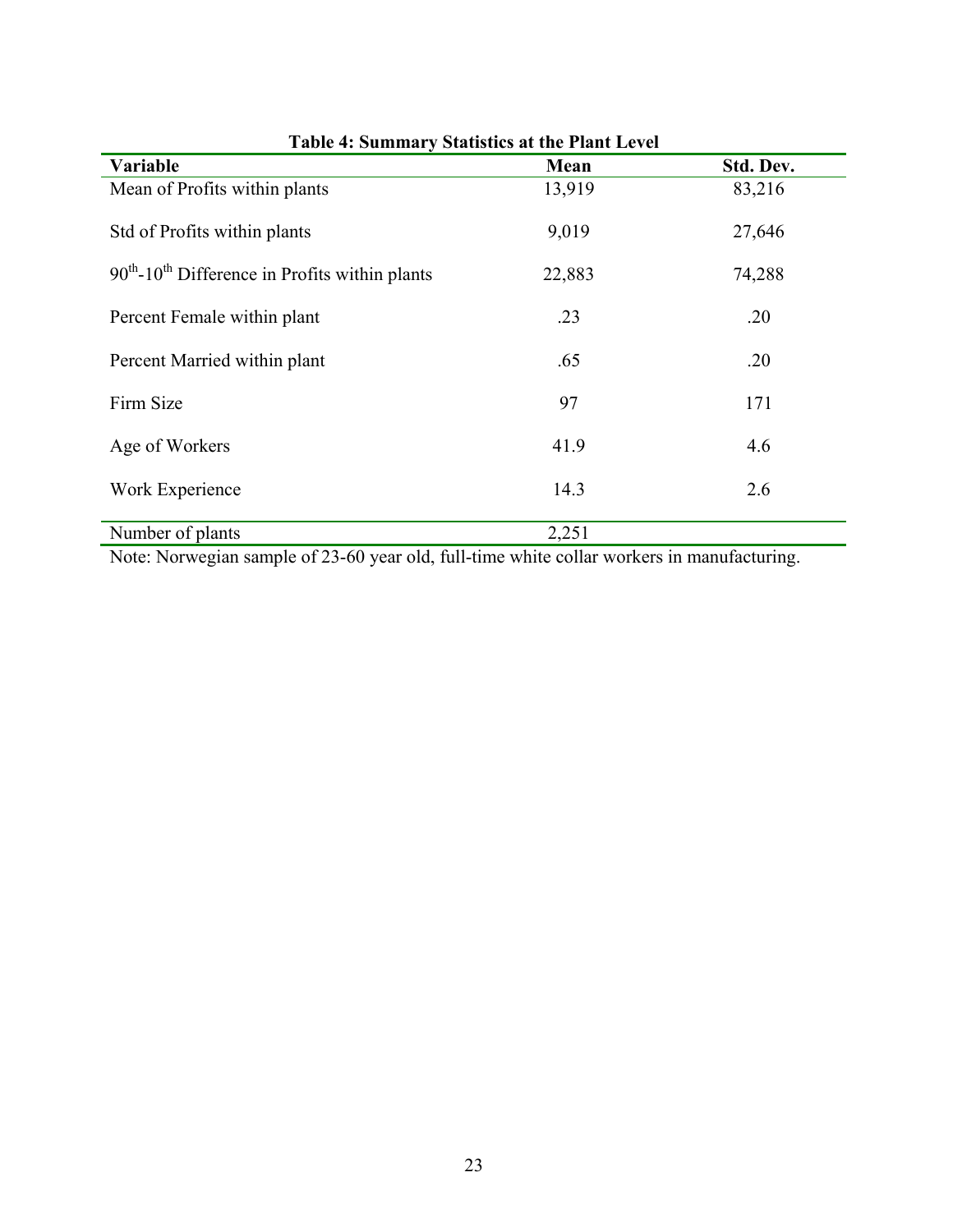| <b>Table 4: Summary Statistics at the Plant Level</b>        |        |           |  |  |  |  |
|--------------------------------------------------------------|--------|-----------|--|--|--|--|
| <b>Variable</b>                                              | Mean   | Std. Dev. |  |  |  |  |
| Mean of Profits within plants                                | 13,919 | 83,216    |  |  |  |  |
| Std of Profits within plants                                 | 9,019  | 27,646    |  |  |  |  |
| $90th$ -10 <sup>th</sup> Difference in Profits within plants | 22,883 | 74,288    |  |  |  |  |
| Percent Female within plant                                  | .23    | .20       |  |  |  |  |
| Percent Married within plant                                 | .65    | .20       |  |  |  |  |
| Firm Size                                                    | 97     | 171       |  |  |  |  |
| Age of Workers                                               | 41.9   | 4.6       |  |  |  |  |
| Work Experience                                              | 14.3   | 2.6       |  |  |  |  |
| Number of plants                                             | 2,251  |           |  |  |  |  |

Note: Norwegian sample of 23-60 year old, full-time white collar workers in manufacturing.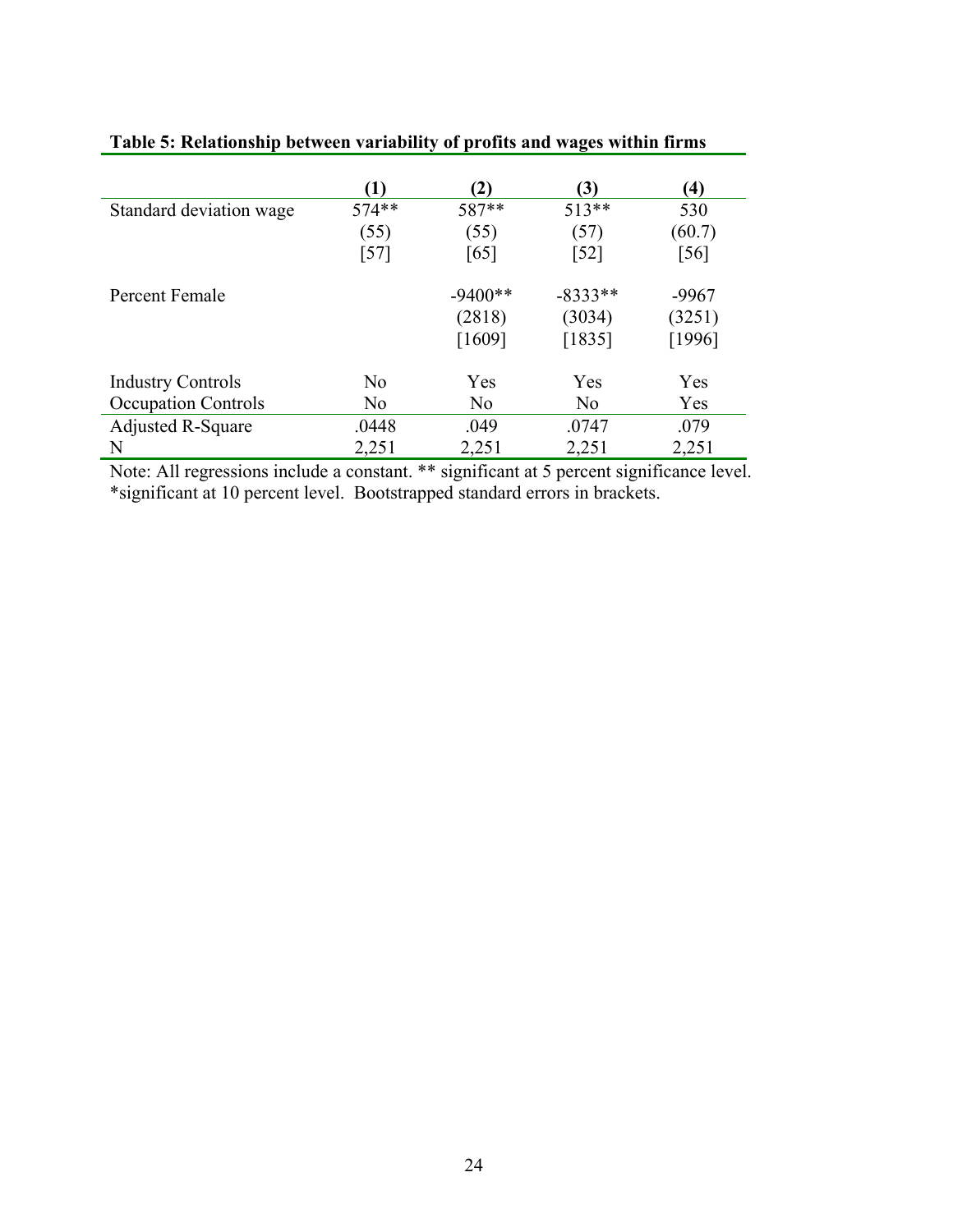|                            | $\bf(1)$          | (2)       | (3)       | $\bf(4)$ |
|----------------------------|-------------------|-----------|-----------|----------|
| Standard deviation wage    | $574**$           | 587**     | 513**     | 530      |
|                            | (55)              | (55)      | (57)      | (60.7)   |
|                            | $\left[57\right]$ | [65]      | $[52]$    | [56]     |
| Percent Female             |                   | $-9400**$ | $-8333**$ | $-9967$  |
|                            |                   | (2818)    | (3034)    | (3251)   |
|                            |                   | [1609]    | [1835]    | $[1996]$ |
| <b>Industry Controls</b>   | N <sub>0</sub>    | Yes       | Yes       | Yes      |
| <b>Occupation Controls</b> | No                | No        | No        | Yes      |
| <b>Adjusted R-Square</b>   | .0448             | .049      | .0747     | .079     |
| N                          | 2,251             | 2,251     | 2,251     | 2,251    |

|  | Table 5: Relationship between variability of profits and wages within firms |  |  |  |  |
|--|-----------------------------------------------------------------------------|--|--|--|--|
|  |                                                                             |  |  |  |  |

Note: All regressions include a constant. \*\* significant at 5 percent significance level. \*significant at 10 percent level. Bootstrapped standard errors in brackets.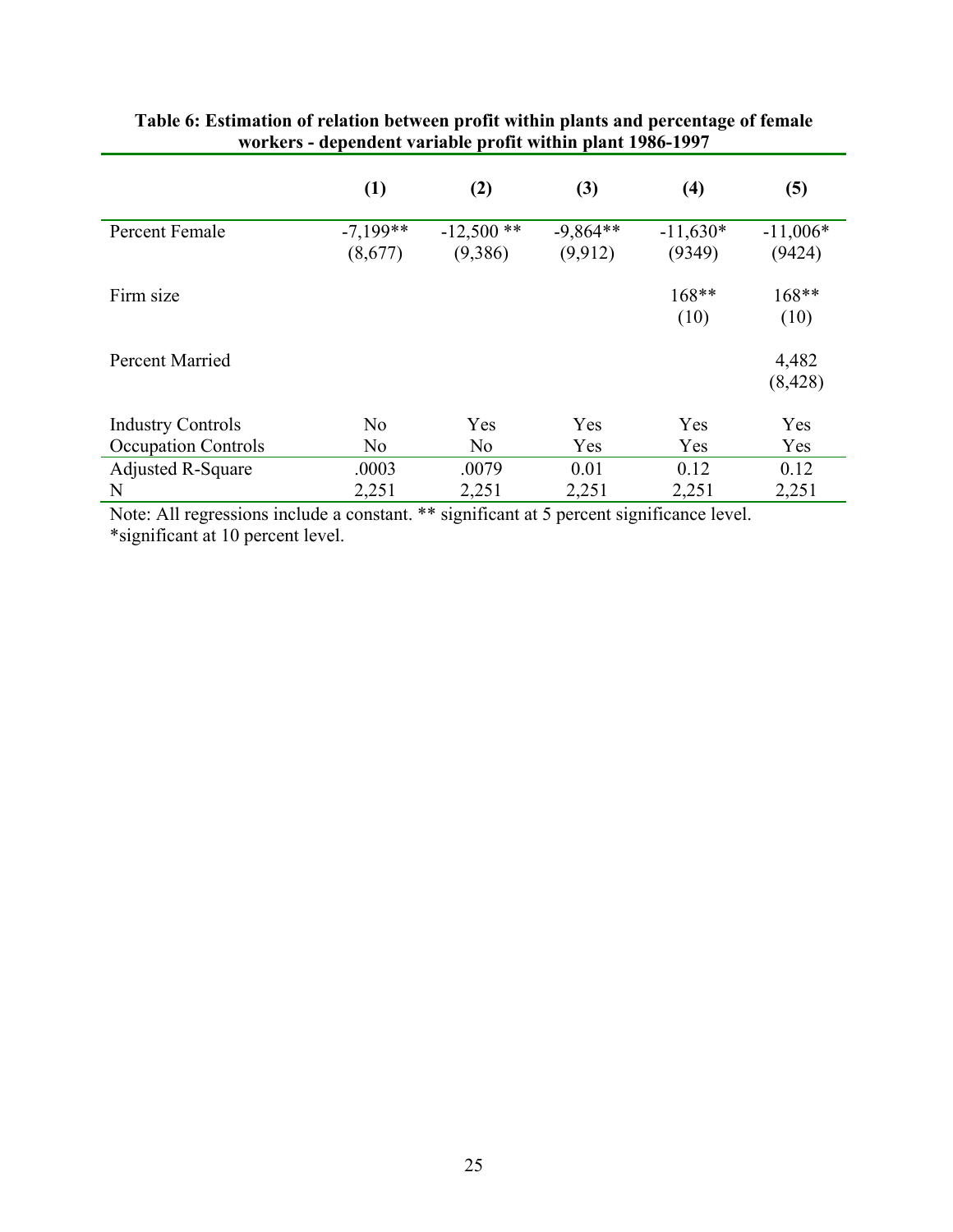|                            | (1)                   | (2)                     | (3)                   | (4)                  | (5)                  |
|----------------------------|-----------------------|-------------------------|-----------------------|----------------------|----------------------|
| Percent Female             | $-7,199**$<br>(8,677) | $-12,500$ **<br>(9,386) | $-9,864**$<br>(9,912) | $-11,630*$<br>(9349) | $-11,006*$<br>(9424) |
| Firm size                  |                       |                         |                       | 168**<br>(10)        | 168**<br>(10)        |
| <b>Percent Married</b>     |                       |                         |                       |                      | 4,482<br>(8, 428)    |
| <b>Industry Controls</b>   | N <sub>o</sub>        | Yes                     | Yes                   | Yes                  | Yes                  |
| <b>Occupation Controls</b> | N <sub>0</sub>        | N <sub>0</sub>          | Yes                   | Yes                  | Yes                  |
| <b>Adjusted R-Square</b>   | .0003                 | .0079                   | 0.01                  | 0.12                 | 0.12                 |
| N                          | 2,251                 | 2,251                   | 2,251                 | 2,251                | 2,251                |

### **Table 6: Estimation of relation between profit within plants and percentage of female workers - dependent variable profit within plant 1986-1997**

Note: All regressions include a constant. \*\* significant at 5 percent significance level. \*significant at 10 percent level.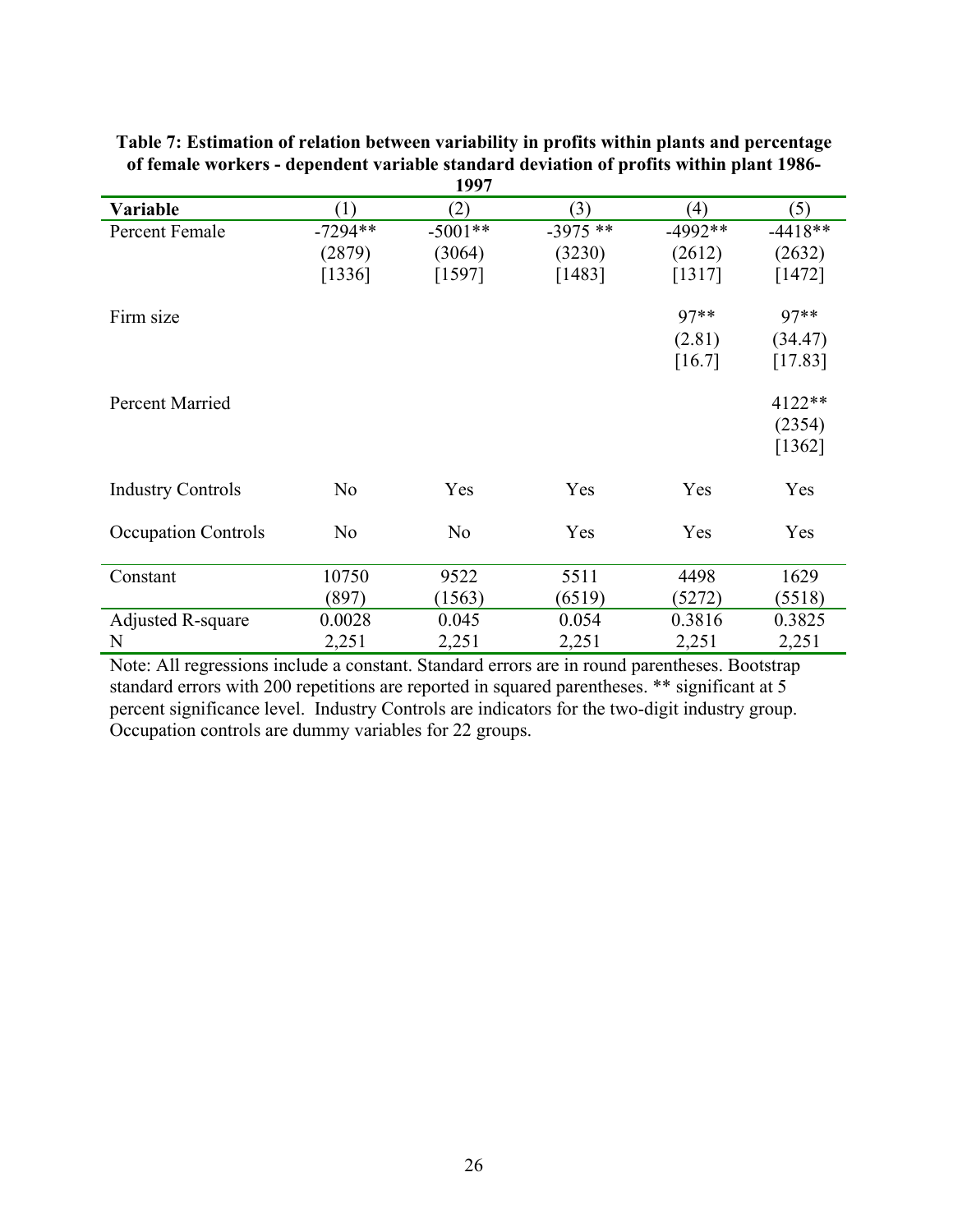|                            |                | 1997           |           |           |           |
|----------------------------|----------------|----------------|-----------|-----------|-----------|
| Variable                   | (1)            | (2)            | (3)       | (4)       | (5)       |
| Percent Female             | $-7294**$      | $-5001**$      | $-3975**$ | $-4992**$ | $-4418**$ |
|                            | (2879)         | (3064)         | (3230)    | (2612)    | (2632)    |
|                            | [1336]         | [1597]         | [1483]    | [1317]    | [1472]    |
| Firm size                  |                |                |           | 97**      | 97**      |
|                            |                |                |           | (2.81)    | (34.47)   |
|                            |                |                |           | [16.7]    | [17.83]   |
| Percent Married            |                |                |           |           | 4122**    |
|                            |                |                |           |           | (2354)    |
|                            |                |                |           |           | [1362]    |
| <b>Industry Controls</b>   | N <sub>o</sub> | Yes            | Yes       | Yes       | Yes       |
| <b>Occupation Controls</b> | N <sub>o</sub> | N <sub>o</sub> | Yes       | Yes       | Yes       |
| Constant                   | 10750          | 9522           | 5511      | 4498      | 1629      |
|                            | (897)          | (1563)         | (6519)    | (5272)    | (5518)    |
| Adjusted R-square          | 0.0028         | 0.045          | 0.054     | 0.3816    | 0.3825    |
| N                          | 2,251          | 2,251          | 2,251     | 2,251     | 2,251     |

**Table 7: Estimation of relation between variability in profits within plants and percentage of female workers - dependent variable standard deviation of profits within plant 1986-**

Note: All regressions include a constant. Standard errors are in round parentheses. Bootstrap standard errors with 200 repetitions are reported in squared parentheses. \*\* significant at 5 percent significance level. Industry Controls are indicators for the two-digit industry group. Occupation controls are dummy variables for 22 groups.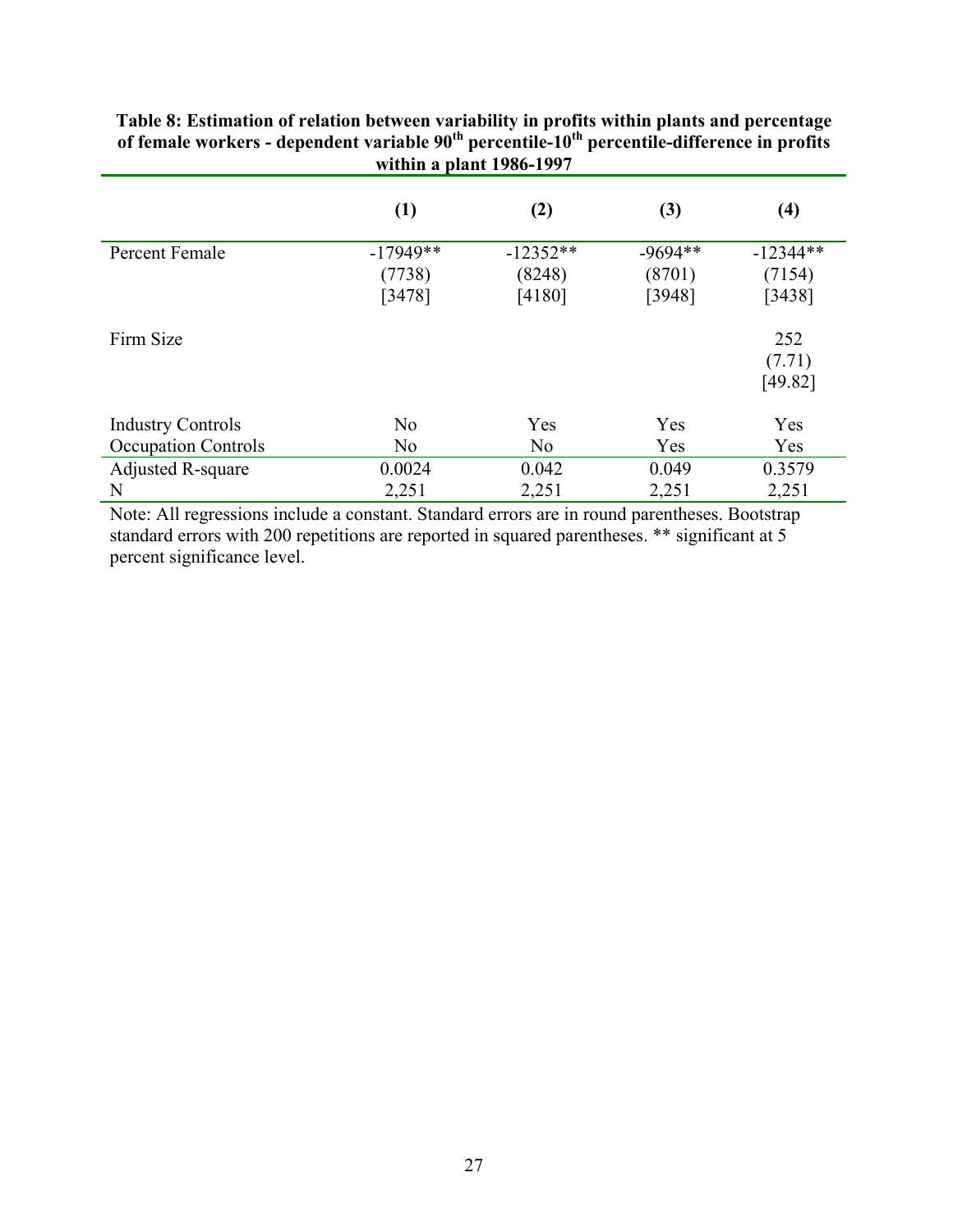| WILIIII a piant 1900-1997  |                |                |           |            |  |  |  |
|----------------------------|----------------|----------------|-----------|------------|--|--|--|
|                            | (1)            | (2)            | (3)       | (4)        |  |  |  |
| Percent Female             | $-17949**$     | $-12352**$     | $-9694**$ | $-12344**$ |  |  |  |
|                            | (7738)         | (8248)         | (8701)    | (7154)     |  |  |  |
|                            | [3478]         | [4180]         | [3948]    | [3438]     |  |  |  |
| Firm Size                  |                |                |           | 252        |  |  |  |
|                            |                |                |           | (7.71)     |  |  |  |
|                            |                |                |           | [49.82]    |  |  |  |
| <b>Industry Controls</b>   | N <sub>0</sub> | Yes            | Yes       | Yes        |  |  |  |
| <b>Occupation Controls</b> | N <sub>0</sub> | N <sub>o</sub> | Yes       | Yes        |  |  |  |
| Adjusted R-square          | 0.0024         | 0.042          | 0.049     | 0.3579     |  |  |  |
| N                          | 2,251          | 2,251          | 2,251     | 2,251      |  |  |  |

**Table 8: Estimation of relation between variability in profits within plants and percentage**  of female workers - dependent variable 90<sup>th</sup> percentile-10<sup>th</sup> percentile-difference in profits **within a plant 1986-1997** 

Note: All regressions include a constant. Standard errors are in round parentheses. Bootstrap standard errors with 200 repetitions are reported in squared parentheses. \*\* significant at 5 percent significance level.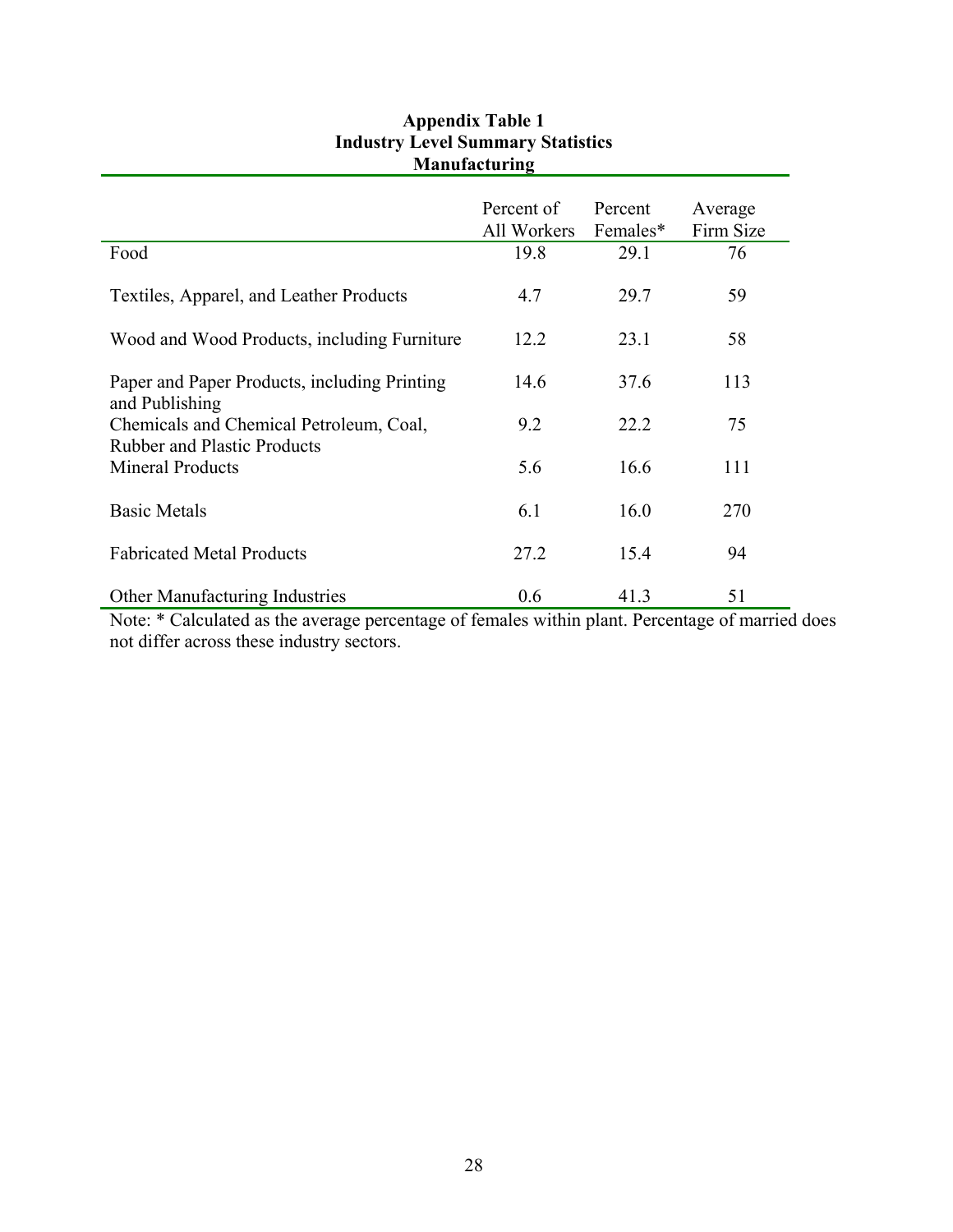| <b>Manufactul III</b>                        |                                  |                     |                      |  |  |
|----------------------------------------------|----------------------------------|---------------------|----------------------|--|--|
|                                              | Percent of<br>All Workers        | Percent<br>Females* | Average<br>Firm Size |  |  |
| Food                                         | 19.8                             | 29.1                | 76                   |  |  |
| Textiles, Apparel, and Leather Products      | 4.7                              | 29.7                | 59                   |  |  |
| Wood and Wood Products, including Furniture  | 12.2                             | 23.1                | 58                   |  |  |
|                                              |                                  |                     |                      |  |  |
| Paper and Paper Products, including Printing | 14.6                             | 37.6                | 113                  |  |  |
| and Publishing                               |                                  |                     |                      |  |  |
| Chemicals and Chemical Petroleum, Coal,      | 9.2                              | 22.2                | 75                   |  |  |
| <b>Rubber and Plastic Products</b>           |                                  |                     |                      |  |  |
| <b>Mineral Products</b>                      | 5.6                              | 16.6                | 111                  |  |  |
| <b>Basic Metals</b>                          | 6.1                              | 16.0                | 270                  |  |  |
| <b>Fabricated Metal Products</b>             | 27.2                             | 15.4                | 94                   |  |  |
| Other Manufacturing Industries               | 0.6<br>$\sim$ $\sim$<br>$\cdots$ | 41.3                | 51                   |  |  |

# **Appendix Table 1 Industry Level Summary Statistics Manufacturing**

Note: \* Calculated as the average percentage of females within plant. Percentage of married does not differ across these industry sectors.